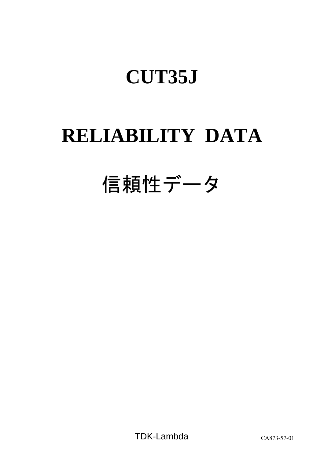# **RELIABILITY DATA**

# 信頼性データ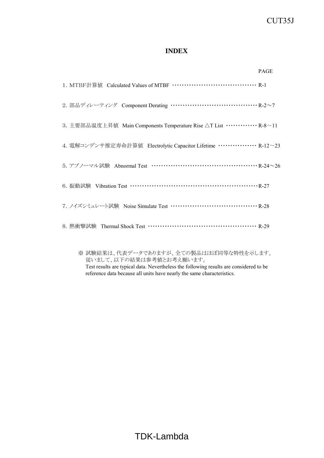# **INDEX**

|                                                                             | <b>PAGE</b> |
|-----------------------------------------------------------------------------|-------------|
|                                                                             |             |
| 2. 部品ディレーティング Component Derating ………………………………… R-2~7                        |             |
| 3. 主要部品温度上昇値 Main Components Temperature Rise △T List ·············· R-8∼11 |             |
| 4. 電解コンデンサ推定寿命計算値 Electrolytic Capacitor Lifetime …………… R-12~23             |             |
| 5. アブノーマル試験 Abnormal Test ……………………………………… R-24~26                           |             |
| 6. 振動試験 Vibration Test …………………………………………………… R-27                            |             |
| 7. ノイズシミュレート試験 Noise Simulate Test ………………………………… R-28                       |             |
|                                                                             |             |
|                                                                             |             |

※ 試験結果は、代表データでありますが、全ての製品はほぼ同等な特性を示します。 従いまして、以下の結果は参考値とお考え願います。

Test results are typical data. Nevertheless the following results are considered to be reference data because all units have nearly the same characteristics.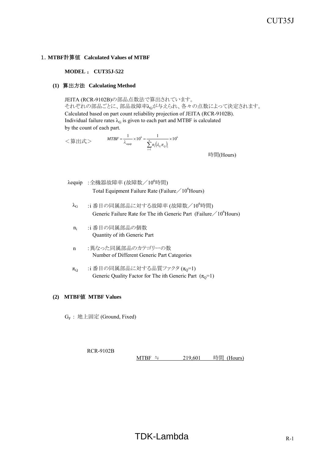#### 1.**MTBF**計算値 **Calculated Values of MTBF**

#### **MODEL** : **CUT35J-522**

#### **(1)** 算出方法 **Calculating Method**

JEITA (RCR-9102B)の部品点数法で算出されています。 それぞれの部品ごとに、部品故障率λGが与えられ、各々の点数によって決定されます。 Calculated based on part count reliability projection of JEITA (RCR-9102B). Individual failure rates  $\lambda_G$  is given to each part and MTBF is calculated by the count of each part.

<算出式>  $(\lambda_c \pi_o)$ 6 1  $=\frac{1}{1} \times 10^6 = \frac{1}{1} \times 10^{-1}$  $\sum_{i=1}^n$ *i*  $\sum_{i=1}^{} n_i (\lambda_{\overline{G}} \pi_{\overline{Q}})_i$  $MTBF = \frac{1}{\lambda_{\text{equip}}} \times 10^6 = \frac{1}{\sum_{n=1}^{n} (\lambda_n \pi)^n}$ 

時間(Hours)

- λequip :全機器故障率 (故障数/10 $^6$ 時間) Total Equipment Failure Rate (Failure  $\frac{10^{6}$  Hours)
	- $\lambda_{\rm G}$  :i 番目の同属部品に対する故障率 (故障数/10 $^6$ 時間) Generic Failure Rate for The ith Generic Part (Failure  $/10^6$  Hours)
	- ni :i 番目の同属部品の個数 Quantity of ith Generic Part
	- n :異なった同属部品のカテゴリーの数 Number of Different Generic Part Categories
	- $\pi_{\mathsf{Q}}$  :i番目の同属部品に対する品質ファクタ ( $\pi_{\mathsf{Q}}$ =1) Generic Quality Factor for The ith Generic Part  $(\pi_0=1)$

#### **(2) MTBF**値 **MTBF Values**

GF : 地上固定 (Ground, Fixed)

RCR-9102B MTBF ≒  $219,601$  時間 (Hours)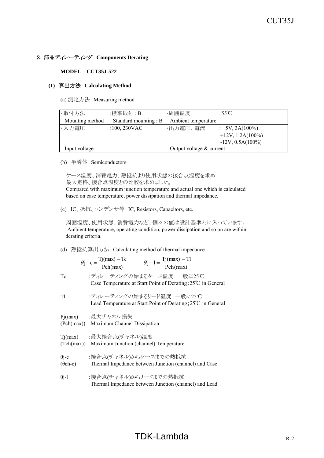#### 2.部品ディレーティング **Components Derating**

#### **MODEL** : **CUT35J-522**

#### **(1)** 算出方法 **Calculating Method**

(a) 測定方法 Measuring method

| ·取付方法           | :標準取付:B              | ・周囲温度                      | :55 $\mathrm{C}$          |
|-----------------|----------------------|----------------------------|---------------------------|
| Mounting method | Standard mounting: B | Ambient temperature        |                           |
| ・入力電圧           | $:100,230$ VAC       | ・出力電圧、電流                   | $\therefore$ 5V, 3A(100%) |
|                 |                      |                            | $+12V$ , 1.2A $(100\%)$   |
|                 |                      |                            | $-12V, 0.5A(100\%)$       |
| Input voltage   |                      | Output voltage $&$ current |                           |

(b) 半導体 Semiconductors

 ケース温度、消費電力、熱抵抗より使用状態の接合点温度を求め 最大定格、接合点温度との比較を求めました。 Compared with maximum junction temperature and actual one which is calculated based on case temperature, power dissipation and thermal impedance.

(c) IC、抵抗、コンデンサ等 IC, Resistors, Capacitors, etc.

 周囲温度、使用状態、消費電力など、個々の値は設計基準内に入っています。 Ambient temperature, operating condition, power dissipation and so on are within derating criteria.

(d) 熱抵抗算出方法 Calculating method of thermal impedance

$$
\theta j - c = \frac{Tj(max) - Tc}{Pch(max)} \qquad \theta j - l = \frac{Tj(max) - Tl}{Pch(max)}
$$

- Tc :ディレーティングの始まるケース温度 一般に25℃ Case Temperature at Start Point of Derating;25℃ in General
- Tl :ディレーティングの始まるリード温度 一般に25℃ Lead Temperature at Start Point of Derating;25℃ in General

Pj(max) :最大チャネル損失

- (Pch(max)) Maximum Channel Dissipation
- Tj(max) :最大接合点(チャネル)温度 (Tch(max)) Maximum Junction (channel) Temperature
- θi-c :接合点(チャネル)からケースまでの熱抵抗
- (θch-c) Thermal Impedance between Junction (channel) and Case
- θj-l :接合点(チャネル)からリードまでの熱抵抗 Thermal Impedance between Junction (channel) and Lead

# $TDK-Lambda$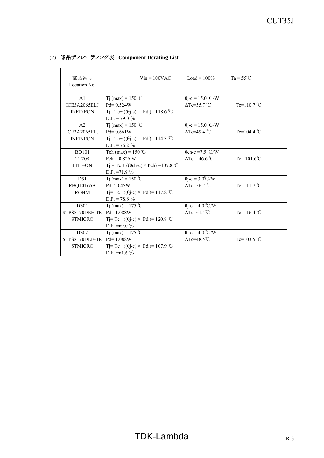| 部品番号<br>Location No.      | $V$ in = 100VAC                                   | $Load = 100\%$               | $Ta = 55^{\circ}C$    |
|---------------------------|---------------------------------------------------|------------------------------|-----------------------|
| A <sub>1</sub>            | T <sub>j</sub> (max) = $150^{\circ}$ C            | $\theta$ j-c = 15.0 °C/W     |                       |
| ICE3A2065ELJ              | $Pd = 0.524W$                                     | $\Delta$ Tc=55.7 °C          | $Te=110.7^{\circ}C$   |
| <b>INFINEON</b>           | Tj=Tc+ (( $\theta$ j-c) × Pd)= 118.6 °C           |                              |                       |
|                           | $D.F. = 79.0 \%$                                  |                              |                       |
| A <sub>2</sub>            | Tj (max) = $150^{\circ}$ C                        | $\theta$ j-c = 15.0 °C/W     |                       |
| ICE3A2065ELJ              | $Pd = 0.661W$                                     | $\Delta$ Tc=49.4 °C          | Tc=104.4 $^{\circ}$ C |
| <b>INFINEON</b>           | Tj= Tc+ ((θj-c) × Pd )= 114.3 °C                  |                              |                       |
|                           | $D.F. = 76.2 \%$                                  |                              |                       |
| <b>BD101</b>              | Tch (max) = $150$ °C                              | $0$ ch-c = 7.5 °C/W          |                       |
| <b>TT208</b>              | $Pch = 0.826 W$                                   | $\Delta Tc = 46.6 \degree C$ | $Tc = 101.6^{\circ}C$ |
| <b>LITE-ON</b>            | $Tj = Tc + ((\theta ch-c) \times Pch) = 107.8$ °C |                              |                       |
|                           | D.F. = $71.9\%$                                   |                              |                       |
| D51                       | Tj (max) = $150^{\circ}$ C                        | $\theta$ j-c = 3.0°C/W       |                       |
| RBQ10T65A                 | $Pd = 2.045W$                                     | $\Delta$ Tc=56.7 °C          | $Tc=111.7^{\circ}C$   |
| <b>ROHM</b>               | Tj=Tc+(( $\theta$ j-c) × Pd)=117.8 °C             |                              |                       |
|                           | $D.F. = 78.6 \%$                                  |                              |                       |
| D301                      | T <sub>1</sub> (max) = 175 °C                     | $\theta$ j-c = 4.0 °C/W      |                       |
| STPS8170DEE-TR            | $Pd = 1.088W$                                     | $\Delta$ Tc=61.4°C           | Tc=116.4 $^{\circ}$ C |
| <b>STMICRO</b>            | Tj= Tc+ ((θj-c) × Pd )= 120.8 °C                  |                              |                       |
|                           | D.F. $=69.0\%$                                    |                              |                       |
| D302                      | Tj (max) = 175 °C                                 | $\theta$ j-c = 4.0 °C/W      |                       |
| STPS8170DEE-TR Pd= 1.088W |                                                   | $\Delta$ Tc=48.5°C           | Tc=103.5 $°C$         |
| <b>STMICRO</b>            | Tj= Tc+ (( $\theta$ j-c) × Pd )= 107.9 °C         |                              |                       |
|                           | D.F. $=61.6\%$                                    |                              |                       |

## **(2)** 部品ディレーティング表 **Component Derating List**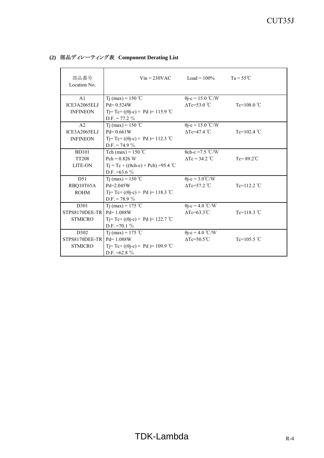| 部品番号<br>Location No.      | $V$ in = 230VAC                                  | $Load = 100\%$               | $Ta = 55^{\circ}C$    |
|---------------------------|--------------------------------------------------|------------------------------|-----------------------|
| A <sub>1</sub>            | T <sub>j</sub> (max) = $150^{\circ}$ C           | $\theta$ j-c = 15.0 °C/W     |                       |
| ICE3A2065ELJ              | $Pd = 0.524W$                                    | $\triangle$ Tc=53.0 °C       | $Te=108.0^{\circ}C$   |
| <b>INFINEON</b>           | Tj=Tc+ (( $\theta$ j-c) × Pd)= 115.9 °C          |                              |                       |
|                           | $D.F. = 77.2 \%$                                 |                              |                       |
| A <sub>2</sub>            | Tj (max) = $150^{\circ}$ C                       | $\theta$ j-c = 15.0 °C/W     |                       |
| ICE3A2065ELJ              | $Pd = 0.661W$                                    | $\Delta$ Tc=47.4 °C          | Tc=102.4 $^{\circ}$ C |
| <b>INFINEON</b>           | Tj= Tc+ ((θj-c) × Pd )= 112.3 °C                 |                              |                       |
|                           | $D.F. = 74.9 \%$                                 |                              |                       |
| <b>BD101</b>              | Tch (max) = $150$ °C                             | $0$ ch-c = 7.5 °C/W          |                       |
| <b>TT208</b>              | $Pch = 0.826 W$                                  | $\Delta Tc = 34.2$ °C        | $Tc = 89.2^{\circ}C$  |
| <b>LITE-ON</b>            | $Tj = Tc + ((\theta ch-c) \times Pch) = 95.4$ °C |                              |                       |
|                           | D.F. $=63.6\%$                                   |                              |                       |
| D51                       | Tj (max) = $150 °C$                              | $\theta$ j-c = 3.0°C/W       |                       |
| RBQ10T65A                 | $Pd = 2.045W$                                    | $\triangle$ Tc=57.2 °C       | Tc=112.2 $°C$         |
| <b>ROHM</b>               | Tj=Tc+(( $\theta$ j-c) × Pd)=118.3 °C            |                              |                       |
|                           | $D.F. = 78.9 \%$                                 |                              |                       |
| D301                      | T <sub>1</sub> (max) = 175 °C                    | $\theta$ j-c = 4.0 °C/W      |                       |
| STPS8170DEE-TR            | $Pd = 1.088W$                                    | $\Delta$ Tc=63.3°C           | Tc=118.3 $^{\circ}$ C |
| <b>STMICRO</b>            | Tj=Tc+ (( $\theta$ j-c) × Pd )= 122.7 °C         |                              |                       |
|                           | D.F. = $70.1\%$                                  |                              |                       |
| D302                      | Tj (max) = 175 °C                                | $\theta$ j-c = 4.0 °C/W      |                       |
| STPS8170DEE-TR Pd= 1.088W |                                                  | $\Delta$ Tc=50.5 $\degree$ C | Tc=105.5 $°C$         |
| <b>STMICRO</b>            | Tj= Tc+ (( $\theta$ j-c) × Pd )= 109.9 °C        |                              |                       |
|                           | D.F. $=62.8\%$                                   |                              |                       |

## **(2)** 部品ディレーティング表 **Component Derating List**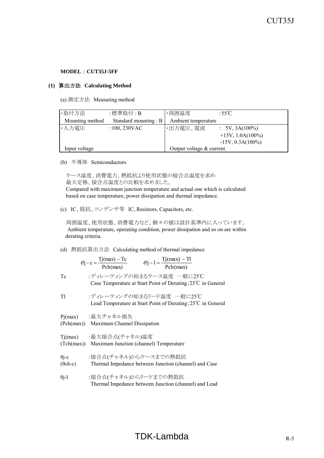#### **(1)** 算出方法 **Calculating Method**

(a) 測定方法 Measuring method

| ·取付方法           | :標準取付 : B               | ・周囲温度                      | :55 $\degree$ C           |
|-----------------|-------------------------|----------------------------|---------------------------|
| Mounting method | Standard mounting : $B$ | Ambient temperature        |                           |
| ・・入力電圧          | $:100,230$ VAC          | ・出力電圧、電流                   | $\therefore$ 5V, 3A(100%) |
|                 |                         |                            | $+15V$ , 1.0A(100%)       |
|                 |                         |                            | $-15V$ , 0.3A $(100\%)$   |
| Input voltage   |                         | Output voltage $&$ current |                           |

(b) 半導体 Semiconductors

 ケース温度、消費電力、熱抵抗より使用状態の接合点温度を求め 最大定格、接合点温度との比較を求めました。 Compared with maximum junction temperature and actual one which is calculated based on case temperature, power dissipation and thermal impedance.

(c) IC、抵抗、コンデンサ等 IC, Resistors, Capacitors, etc.

 周囲温度、使用状態、消費電力など、個々の値は設計基準内に入っています。 Ambient temperature, operating condition, power dissipation and so on are within derating criteria.

(d) 熱抵抗算出方法 Calculating method of thermal impedance

$$
\theta j - c = \frac{Tj(max) - Tc}{Pch(max)} \qquad \theta j - l = \frac{Tj(max) - Tl}{Pch(max)}
$$

- Tc :ディレーティングの始まるケース温度 一般に25℃ Case Temperature at Start Point of Derating;25℃ in General
- Tl :ディレーティングの始まるリード温度 一般に25℃ Lead Temperature at Start Point of Derating;25℃ in General

Pj(max) :最大チャネル損失

- (Pch(max)) Maximum Channel Dissipation
- Tj(max) :最大接合点(チャネル)温度 (Tch(max)) Maximum Junction (channel) Temperature
- θi-c :接合点(チャネル)からケースまでの熱抵抗
- (θch-c) Thermal Impedance between Junction (channel) and Case
- θj-l :接合点(チャネル)からリードまでの熱抵抗 Thermal Impedance between Junction (channel) and Lead

# $TDK$ -Lambda  $R-5$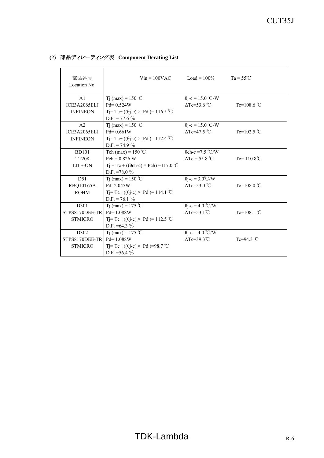| 部品番号<br>Location No.      | $V$ in = 100VAC                                   | $Load = 100\%$                  | $Ta = 55^{\circ}C$    |
|---------------------------|---------------------------------------------------|---------------------------------|-----------------------|
| A <sub>1</sub>            | T <sub>j</sub> (max) = $150^{\circ}$ C            | $\theta$ j-c = 15.0 °C/W        |                       |
| ICE3A2065ELJ              | $Pd = 0.524W$                                     | $\Delta$ Tc=53.6 °C             | Tc=108.6 $°C$         |
| <b>INFINEON</b>           | Tj= Tc+ (( $\theta$ j-c) × Pd )= 116.5 °C         |                                 |                       |
|                           | $D.F. = 77.6 \%$                                  |                                 |                       |
| A <sub>2</sub>            | Tj (max) = $150^{\circ}$ C                        | $\theta$ j-c = 15.0 °C/W        |                       |
| ICE3A2065ELJ              | $Pd = 0.661W$                                     | $\Delta$ Tc=47.5 °C             | Tc=102.5 $°C$         |
| <b>INFINEON</b>           | Tj= Tc+ ((θj-c) × Pd )= 112.4 °C                  |                                 |                       |
|                           | $D.F. = 74.9 \%$                                  |                                 |                       |
| <b>BD101</b>              | Tch (max) = $150$ °C                              | $0$ ch-c = 7.5 °C/W             |                       |
| <b>TT208</b>              | $Pch = 0.826 W$                                   | $\Delta Tc = 55.8$ °C           | $Tc = 110.8^{\circ}C$ |
| <b>LITE-ON</b>            | $Tj = Tc + ((\theta ch-c) \times Pch) = 117.0$ °C |                                 |                       |
|                           | D.F. = 78.0 $\%$                                  |                                 |                       |
| D51                       | Tj (max) = $150^{\circ}$ C                        | $\theta$ j-c = 3.0°C/W          |                       |
| RBQ10T65A                 | $Pd = 2.045W$                                     | $\triangle$ Tc=53.0 °C          | Tc=108.0 $\degree$ C  |
| <b>ROHM</b>               | Tj=Tc+(( $\theta$ j-c) × Pd)=114.1 °C             |                                 |                       |
|                           | $D.F. = 76.1 \%$                                  |                                 |                       |
| D301                      | T <sub>1</sub> (max) = 175 °C                     | $\theta$ j-c = 4.0 °C/W         |                       |
| STPS8170DEE-TR            | $Pd = 1.088W$                                     | $\Delta$ Tc=53.1 <sup>°</sup> C | Tc=108.1 $^{\circ}$ C |
| <b>STMICRO</b>            | Tj=Tc+ (( $\theta$ j-c) × Pd )= 112.5 °C          |                                 |                       |
|                           | D.F. $=64.3\%$                                    |                                 |                       |
| D302                      | Tj (max) = 175 °C                                 | $\theta$ j-c = 4.0 °C/W         |                       |
| STPS8170DEE-TR Pd= 1.088W |                                                   | $\Delta$ Tc=39.3 $\degree$ C    | Tc=94.3 $\degree$ C   |
| <b>STMICRO</b>            | Tj= Tc+ (( $\theta$ j-c) × Pd )=98.7 °C           |                                 |                       |
|                           | D.F. = $56.4\%$                                   |                                 |                       |

## **(2)** 部品ディレーティング表 **Component Derating List**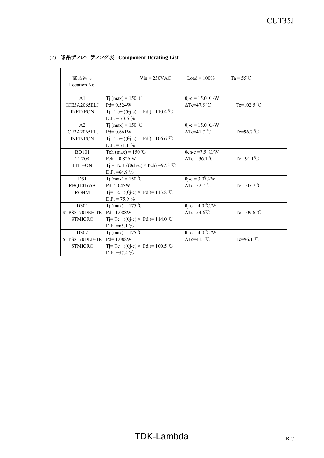| 部品番号<br>Location No.           | $V$ in = 230VAC                                           | $Load = 100\%$                                  | $Ta = 55^{\circ}C$   |
|--------------------------------|-----------------------------------------------------------|-------------------------------------------------|----------------------|
| A <sub>1</sub><br>ICE3A2065ELJ | Tj (max) = $150^{\circ}$ C<br>$Pd = 0.524W$               | $\theta$ j-c = 15.0 °C/W<br>$\Delta$ Tc=47.5 °C | Tc=102.5 $°C$        |
| <b>INFINEON</b>                | Tj=Tc+(( $\theta$ j-c) × Pd)=110.4 °C<br>D.F. = 73.6 $\%$ |                                                 |                      |
| A <sub>2</sub>                 | T <sub>1</sub> (max) = 150 °C                             | $\theta$ j-c = 15.0 °C/W                        |                      |
| ICE3A2065ELJ                   | $Pd = 0.661W$                                             | $\Delta$ Tc=41.7 °C                             | Tc=96.7 $°C$         |
| <b>INFINEON</b>                | Tj= Tc+ (( $\theta$ j-c) × Pd )= 106.6 °C                 |                                                 |                      |
|                                | $D.F. = 71.1 \%$                                          |                                                 |                      |
| <b>BD101</b>                   | Tch (max) = $150^{\circ}$ C                               | $\theta$ ch-c = 7.5 °C/W                        |                      |
| <b>TT208</b>                   | $Pch = 0.826 W$                                           | $\Delta Tc = 36.1$ °C                           | $Tc = 91.1^{\circ}C$ |
| <b>LITE-ON</b>                 | $Tj = Tc + ((\theta ch-c) \times Pch) = 97.3$ °C          |                                                 |                      |
|                                | D.F. $=64.9 \%$                                           |                                                 |                      |
| D51                            | Tj (max) = $150 °C$                                       | $\theta$ j-c = 3.0°C/W                          |                      |
| RBQ10T65A                      | $Pd = 2.045W$                                             | $\triangle$ Tc=52.7 °C                          | Tc=107.7 $°C$        |
| <b>ROHM</b>                    | Tj= Tc+ ((θj-c) × Pd )= 113.8 °C                          |                                                 |                      |
|                                | D.F. = 75.9 $\%$                                          |                                                 |                      |
| D301                           | T <sub>1</sub> (max) = 175 °C                             | $\theta$ j-c = 4.0 °C/W                         |                      |
| STPS8170DEE-TR                 | $Pd = 1.088W$                                             | $\Delta$ Tc=54.6 $\degree$ C                    | Tc=109.6 $°C$        |
| <b>STMICRO</b>                 | Tj=Tc+(( $\theta$ j-c) × Pd)=114.0 °C                     |                                                 |                      |
|                                | D.F. $=65.1\%$                                            |                                                 |                      |
| D <sub>302</sub>               | T <sub>j</sub> (max) = 175 °C                             | $\theta$ j-c = 4.0 °C/W                         |                      |
| STPS8170DEE-TR                 | $Pd = 1.088W$                                             | $\Delta$ Tc=41.1 <sup>°</sup> C                 | Tc=96.1 $\degree$ C  |
| <b>STMICRO</b>                 | Tj=Tc+(( $\theta$ j-c) × Pd)=100.5 °C                     |                                                 |                      |
|                                | D.F. $=57.4\%$                                            |                                                 |                      |

## **(2)** 部品ディレーティング表 **Component Derating List**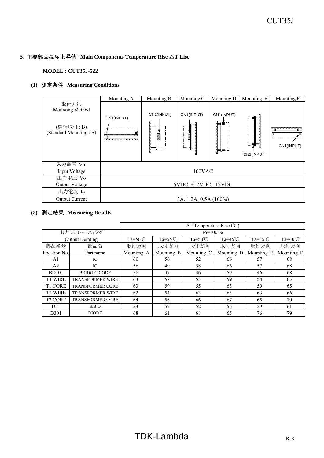#### 3.主要部品温度上昇値 **Main Components Temperature Rise** △**T List**

#### **MODEL : CUT35J-522**

## **(1)** 測定条件 **Measuring Conditions**

|                                                                | Mounting A                        | Mounting B             | Mounting C            | Mounting D              | Mounting E             | Mounting F                       |
|----------------------------------------------------------------|-----------------------------------|------------------------|-----------------------|-------------------------|------------------------|----------------------------------|
| 取付方法<br>Mounting Method<br>(標準取付: B)<br>(Standard Mounting: B) | CN1(INPUT)<br>,,,,,,,,,,,,,,,,,,, | CN1(INPUT)<br>man<br>N | CN1(INPUT)<br>Ø       | CN1(INPUT)<br>ᆷ<br>;⊨.⊨ | 国目<br>し引き<br>CN1(INPUT | ,,,,,,,,,,,,,,,,,,<br>CN1(INPUT) |
| 入力電圧 Vin                                                       |                                   |                        |                       |                         |                        |                                  |
| Input Voltage                                                  |                                   |                        | 100VAC                |                         |                        |                                  |
| 出力電圧 Vo                                                        |                                   |                        |                       |                         |                        |                                  |
| Output Voltage                                                 |                                   |                        | 5VDC, +12VDC, -12VDC  |                         |                        |                                  |
| 出力電流 Io                                                        |                                   |                        |                       |                         |                        |                                  |
| Output Current                                                 |                                   |                        | 3A, 1.2A, 0.5A (100%) |                         |                        |                                  |

|                |                         | $\Delta T$ Temperature Rise (°C) |                    |                  |                    |                    |                    |
|----------------|-------------------------|----------------------------------|--------------------|------------------|--------------------|--------------------|--------------------|
| 出力ディレーティング     |                         |                                  |                    | $Io=100\%$       |                    |                    |                    |
|                | <b>Output Derating</b>  | $Ta = 50^{\circ}C$               | $Ta = 55^{\circ}C$ | $Ta=50^{\circ}C$ | Ta= $45^{\circ}$ C | Ta= $45^{\circ}$ C | Ta= $40^{\circ}$ C |
| 部品番号           | 部品名                     | 取付方向                             | 取付方向               | 取付方向             | 取付方向               | 取付方向               | 取付方向               |
| Location No.   | Part name               | Mounting A                       | Mounting B         | Mounting C       | Mounting D         | Mounting E         | Mounting F         |
| A1             | IC                      | 60                               | 56                 | 52               | 66                 | 57                 | 68                 |
| A2             | IC                      | 56                               | 49                 | 58               | 66                 | 57                 | 68                 |
| <b>BD101</b>   | <b>BRIDGE DIODE</b>     | 58                               | 47                 | 46               | 59                 | 46                 | 68                 |
| <b>T1 WIRE</b> | <b>TRANSFORMER WIRE</b> | 63                               | 58                 | 53               | 59                 | 58                 | 63                 |
| <b>T1 CORE</b> | <b>TRANSFORMER CORE</b> | 63                               | 59                 | 55               | 63                 | 59                 | 65                 |
| <b>T2 WIRE</b> | <b>TRANSFORMER WIRE</b> | 62                               | 54                 | 63               | 63                 | 63                 | 66                 |
| <b>T2 CORE</b> | <b>TRANSFORMER CORE</b> | 64                               | 56                 | 66               | 67                 | 65                 | 70                 |
| D51            | S.B.D                   | 53                               | 57                 | 52               | 56                 | 59                 | 61                 |
| D301           | <b>DIODE</b>            | 68                               | 61                 | 68               | 65                 | 76                 | 79                 |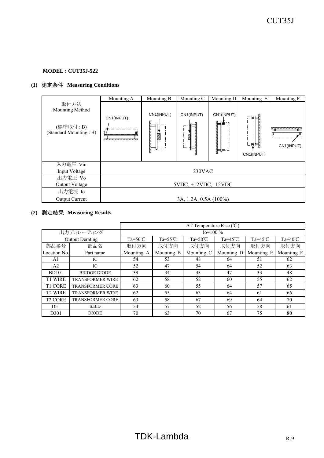# **(1)** 測定条件 **Measuring Conditions**

|                                                                | Mounting A           | Mounting B           | Mounting C            | Mounting D               | Mounting E               | Mounting F                        |
|----------------------------------------------------------------|----------------------|----------------------|-----------------------|--------------------------|--------------------------|-----------------------------------|
| 取付方法<br>Mounting Method<br>(標準取付: B)<br>(Standard Mounting: B) | CN1(INPUT)           | CN1(INPUT)<br>m<br>Í | CN1(INPUT)<br>Ø       | CN1(INPUT)<br>≔<br>╠╤╤╤╌ | 日目<br>. 뛰目<br>CN1(INPUT) | ,,,,,,,,,,,,,,,,,,,<br>CN1(INPUT) |
| 入力電圧 Vin                                                       |                      |                      |                       |                          |                          |                                   |
| Input Voltage                                                  | 230VAC               |                      |                       |                          |                          |                                   |
| 出力電圧 Vo                                                        |                      |                      |                       |                          |                          |                                   |
| Output Voltage                                                 | 5VDC, +12VDC, -12VDC |                      |                       |                          |                          |                                   |
| 出力電流 Io                                                        |                      |                      |                       |                          |                          |                                   |
| <b>Output Current</b>                                          |                      |                      | 3A, 1.2A, 0.5A (100%) |                          |                          |                                   |

|                |                         | $\Delta T$ Temperature Rise (°C) |                    |                  |                    |                    |                    |
|----------------|-------------------------|----------------------------------|--------------------|------------------|--------------------|--------------------|--------------------|
| 出力ディレーティング     |                         |                                  |                    | $Io=100\%$       |                    |                    |                    |
|                | <b>Output Derating</b>  | $Ta = 50^{\circ}C$               | $Ta = 55^{\circ}C$ | $Ta=50^{\circ}C$ | Ta= $45^{\circ}$ C | Ta= $45^{\circ}$ C | Ta= $40^{\circ}$ C |
| 部品番号           | 部品名                     | 取付方向                             | 取付方向               | 取付方向             | 取付方向               | 取付方向               | 取付方向               |
| Location No.   | Part name               | Mounting A                       | Mounting B         | Mounting C       | Mounting D         | Mounting E         | Mounting F         |
| A1             | IC                      | 54                               | 53                 | 48               | 64                 | 51                 | 62                 |
| A <sub>2</sub> | IC                      | 52                               | 47                 | 54               | 64                 | 52                 | 63                 |
| <b>BD101</b>   | <b>BRIDGE DIODE</b>     | 39                               | 34                 | 33               | 47                 | 33                 | 48                 |
| <b>T1 WIRE</b> | <b>TRANSFORMER WIRE</b> | 62                               | 58                 | 52               | 60                 | 55                 | 62                 |
| <b>T1 CORE</b> | <b>TRANSFORMER CORE</b> | 63                               | 60                 | 55               | 64                 | 57                 | 65                 |
| <b>T2 WIRE</b> | <b>TRANSFORMER WIRE</b> | 62                               | 55                 | 63               | 64                 | 61                 | 66                 |
| <b>T2 CORE</b> | <b>TRANSFORMER CORE</b> | 63                               | 58                 | 67               | 69                 | 64                 | 70                 |
| D51            | S.B.D                   | 54                               | 57                 | 52               | 56                 | 58                 | 61                 |
| D301           | <b>DIODE</b>            | 70                               | 63                 | 70               | 67                 | 75                 | 80                 |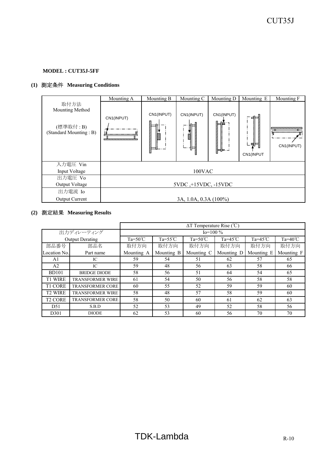# **(1)** 測定条件 **Measuring Conditions**

|                                                                | Mounting A | Mounting B                 | Mounting C            | Mounting D         | Mounting E                                                   | Mounting F                   |
|----------------------------------------------------------------|------------|----------------------------|-----------------------|--------------------|--------------------------------------------------------------|------------------------------|
| 取付方法<br>Mounting Method<br>(標準取付: B)<br>(Standard Mounting: B) | CN1(INPUT) | CN1(INPUT)<br>il il i<br>Í | CN1(INPUT)<br>Ø       | CN1(INPUT)<br>⊱ ⊫⊳ | ばんじょう はんしょう はんしょう はんしょう はんしょう はんしょう はんしょう<br>引气<br>CN1(INPUT | <u>ummmmmm</u><br>CN1(INPUT) |
| 入力電圧 Vin                                                       |            |                            |                       |                    |                                                              |                              |
| Input Voltage                                                  |            |                            | 100VAC                |                    |                                                              |                              |
| 出力電圧 Vo                                                        |            |                            |                       |                    |                                                              |                              |
| Output Voltage                                                 |            |                            | 5VDC, +15VDC, -15VDC  |                    |                                                              |                              |
| 出力電流 Io                                                        |            |                            |                       |                    |                                                              |                              |
| <b>Output Current</b>                                          |            |                            | 3A, 1.0A, 0.3A (100%) |                    |                                                              |                              |

|                |                         |                    |                   | $\Delta T$ Temperature Rise (°C) |                    |                    |                    |
|----------------|-------------------------|--------------------|-------------------|----------------------------------|--------------------|--------------------|--------------------|
|                | 出力ディレーティング              |                    |                   | $Io=100\%$                       |                    |                    |                    |
|                | <b>Output Derating</b>  | $Ta = 50^{\circ}C$ | Ta=55 $\degree$ C | $Ta=50^{\circ}C$                 | Ta= $45^{\circ}$ C | Ta= $45^{\circ}$ C | Ta= $40^{\circ}$ C |
| 部品番号           | 部品名                     | 取付方向               | 取付方向              | 取付方向                             | 取付方向               | 取付方向               | 取付方向               |
| Location No.   | Part name               | Mounting A         | Mounting B        | Mounting C                       | Mounting D         | Mounting E         | Mounting F         |
| A1             | IC                      | 59                 | 54                | 51                               | 62                 | 57                 | 65                 |
| A2             | IC                      | 59                 | 48                | 56                               | 63                 | 58                 | 66                 |
| <b>BD101</b>   | <b>BRIDGE DIODE</b>     | 58                 | 56                | 51                               | 64                 | 54                 | 65                 |
| <b>T1 WIRE</b> | <b>TRANSFORMER WIRE</b> | 61                 | 54                | 50                               | 56                 | 58                 | 58                 |
| <b>T1 CORE</b> | <b>TRANSFORMER CORE</b> | 60                 | 55                | 52                               | 59                 | 59                 | 60                 |
| <b>T2 WIRE</b> | <b>TRANSFORMER WIRE</b> | 58                 | 48                | 57                               | 58                 | 59                 | 60                 |
| <b>T2 CORE</b> | <b>TRANSFORMER CORE</b> | 58                 | 50                | 60                               | 61                 | 62                 | 63                 |
| D51            | S.B.D                   | 52                 | 53                | 49                               | 52                 | 58                 | 56                 |
| D301           | <b>DIODE</b>            | 62                 | 53                | 60                               | 56                 | 70                 | 70                 |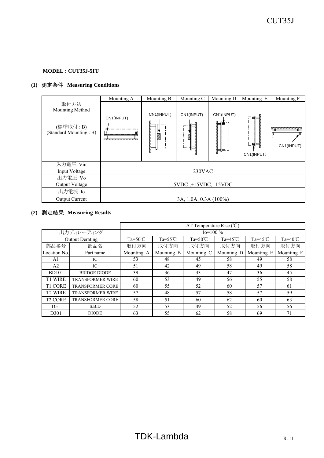# **(1)** 測定条件 **Measuring Conditions**

|                                                                | Mounting A | Mounting B                | Mounting C            | Mounting D           | Mounting E        | Mounting F                       |
|----------------------------------------------------------------|------------|---------------------------|-----------------------|----------------------|-------------------|----------------------------------|
| 取付方法<br>Mounting Method<br>(標準取付: B)<br>(Standard Mounting: B) | CN1(INPUT) | CN1(INPUT)<br>issis.<br>Í | CN1(INPUT)<br>Ø       | CN1(INPUT)<br>┡═┞═╌┙ | ∟ฅ⊨<br>CN1(INPUT) | ,,,,,,,,,,,,,,,,,,<br>CN1(INPUT) |
| 入力電圧 Vin                                                       |            |                           |                       |                      |                   |                                  |
| Input Voltage                                                  |            |                           | 230VAC                |                      |                   |                                  |
| 出力電圧 Vo                                                        |            |                           |                       |                      |                   |                                  |
| Output Voltage                                                 |            |                           | 5VDC, +15VDC, -15VDC  |                      |                   |                                  |
| 出力電流 Io                                                        |            |                           |                       |                      |                   |                                  |
| <b>Output Current</b>                                          |            |                           | 3A, 1.0A, 0.3A (100%) |                      |                   |                                  |

|                |                         |                    |                   | $\Delta T$ Temperature Rise (°C) |                    |                    |                    |
|----------------|-------------------------|--------------------|-------------------|----------------------------------|--------------------|--------------------|--------------------|
|                | 出力ディレーティング              |                    |                   | $Io=100\%$                       |                    |                    |                    |
|                | <b>Output Derating</b>  | $Ta = 50^{\circ}C$ | Ta=55 $\degree$ C | $Ta=50^{\circ}C$                 | Ta= $45^{\circ}$ C | Ta= $45^{\circ}$ C | Ta= $40^{\circ}$ C |
| 部品番号           | 部品名                     | 取付方向               | 取付方向              | 取付方向                             | 取付方向               | 取付方向               | 取付方向               |
| Location No.   | Part name               | Mounting A         | Mounting B        | Mounting C                       | Mounting D         | Mounting E         | Mounting F         |
| A1             | IC                      | 53                 | 48                | 45                               | 58                 | 49                 | 58                 |
| A2             | IC                      | 51                 | 42                | 49                               | 58                 | 49                 | 58                 |
| <b>BD101</b>   | <b>BRIDGE DIODE</b>     | 39                 | 36                | 33                               | 47                 | 36                 | 45                 |
| <b>T1 WIRE</b> | <b>TRANSFORMER WIRE</b> | 60                 | 53                | 49                               | 56                 | 55                 | 58                 |
| <b>T1 CORE</b> | <b>TRANSFORMER CORE</b> | 60                 | 55                | 52                               | 60                 | 57                 | -61                |
| <b>T2 WIRE</b> | <b>TRANSFORMER WIRE</b> | 57                 | 48                | 57                               | 58                 | 57                 | 59                 |
| <b>T2 CORE</b> | <b>TRANSFORMER CORE</b> | 58                 | 51                | 60                               | 62                 | 60                 | 63                 |
| D51            | S.B.D                   | 52                 | 53                | 49                               | 52                 | 56                 | 56                 |
| D301           | <b>DIODE</b>            | 63                 | 55                | 62                               | 58                 | 69                 | 71                 |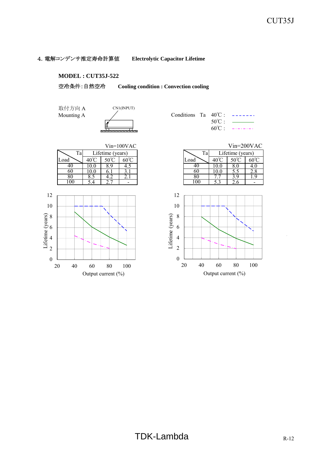#### 4.電解コンデンサ推定寿命計算値 **Electrolytic Capacitor Lifetime**

#### **MODEL : CUT35J-522**

空冷条件:自然空冷 **Cooling condition : Convection cooling**

取付方向 A



|  | Conditions Ta $40^{\circ}$ C : $---$ |
|--|--------------------------------------|
|  | $50^{\circ}$ C : $\qquad \qquad$     |
|  | $60^{\circ}$ C: $---$                |



|      |                  | $Vin=100VAC$ |      |                  | $Vin=200VAC$ |
|------|------------------|--------------|------|------------------|--------------|
|      | Lifetime (years) |              | Ta,  | Lifetime (years) |              |
| 4Օ°Ր | $50^{\circ}$ C   |              | ∟oad |                  |              |
| 10.0 | Q                |              | 40.  |                  |              |
| 10.0 |                  |              | 60   |                  |              |
|      |                  |              | 80   | O                |              |

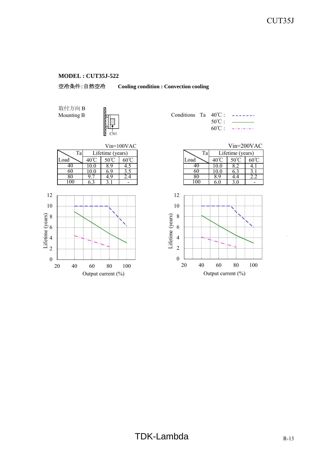

取付方向 B Mounting B  $\frac{1}{2}$  (



|  | Conditions Ta $40^{\circ}$ C: ------ |
|--|--------------------------------------|
|  | $50^{\circ}$ C : $\qquad \qquad$     |
|  | $60^{\circ}$ C: $---$                |



|                    |                  | $Vin=100VAC$ |      |                  | $Vin=200VAC$ |
|--------------------|------------------|--------------|------|------------------|--------------|
|                    | Lifetime (years) |              | Ta   | Lifetime (years) |              |
| 40°C               | $50^{\circ}$ C   |              | Load |                  | 60°C         |
| 10.0               | Q                |              | 40   |                  |              |
| 10.0               |                  |              | 60   |                  |              |
| $Q^{\prime\prime}$ |                  | 4.4          | 80   |                  |              |
| 6.3                |                  |              |      |                  |              |

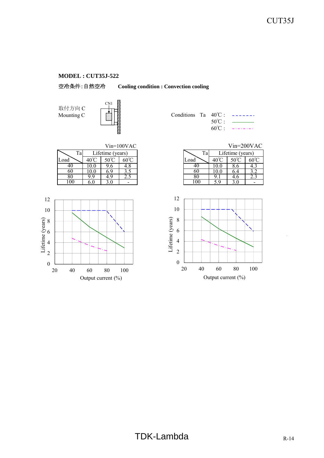

取付方向 C



| Conditions Ta $40^{\circ}$ C : $---$ |  |                                  |
|--------------------------------------|--|----------------------------------|
|                                      |  | $50^{\circ}$ C : $\qquad \qquad$ |
|                                      |  | $60^{\circ}$ C: $---$            |

|      |      |                             | $Vin=100VAC$ |      |       | $Vin=200VA$      |                |
|------|------|-----------------------------|--------------|------|-------|------------------|----------------|
| Ta   |      | Lifetime (years)            |              | Ta   |       | Lifetime (years) |                |
| Load | 40 J | $\mathcal{L}^{\mathcal{O}}$ | 60°C         | Load | 40.   | $50^{\circ}$     | $60^{\circ}$ C |
| 4U   | 10.U | ס.י                         | 4.0          | 46   | 1 V.V | ð.O              |                |
| 60   | .U.U |                             |              | 60   | IV.U  | 6.4              |                |
| 80   |      |                             | 2.J          | 8U   |       | 4.0              |                |
| 00   |      |                             | -            | OO   |       |                  |                |



|    |              |                  | $Vin=100VAC$ |  |      |                  | $Vin=200VAC$ |              |
|----|--------------|------------------|--------------|--|------|------------------|--------------|--------------|
| Ta |              | Lifetime (years) |              |  | Ta   | Lifetime (years) |              |              |
|    |              |                  |              |  | ∟oad |                  |              | $60^{\circ}$ |
|    |              |                  |              |  |      |                  |              |              |
|    |              |                  |              |  | 60   |                  | 0.4          |              |
|    | <sup>0</sup> |                  | ے . ب        |  |      |                  | 4.0          |              |
|    |              |                  |              |  | IК   |                  |              |              |

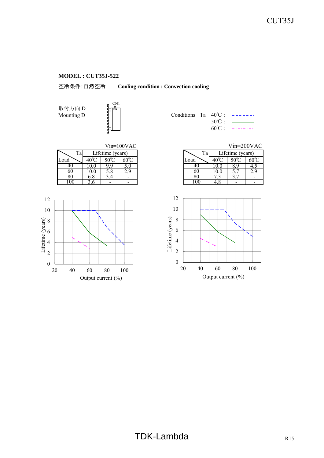空冷条件:自然空冷 **Cooling condition : Convection cooling**

取付方向 D



| Mounting D | an an Dùt | Conditions Ta $40^{\circ}$ C : |                |  |
|------------|-----------|--------------------------------|----------------|--|
|            |           |                                | $50^{\circ}$ . |  |
|            |           |                                | $60^{\circ}$ C |  |

|      |                  |        | $Vin=100VAC$           |      |                  | $Vin=200VA$ |                |
|------|------------------|--------|------------------------|------|------------------|-------------|----------------|
| Ta   | Lifetime (years) |        | Ta                     |      | Lifetime (years) |             |                |
| Load | $40^{\circ}$     | $\sim$ | $60^{\circ}\mathrm{C}$ | Load | $40^{\circ}$     |             | $60^{\circ}$ C |
| 40   | .O.O             | -9     | J.U                    | 40   |                  | 8.9         |                |
| 60   | .0.0             | 5.8    | 2.9                    | 6U   | 10.0             |             |                |
| 80   | O.O              | 3.4    |                        | 80   |                  | J.          |                |
| .00  |                  |        |                        | 00   |                  | -           |                |



|    |     |                  | $Vin=100VAC$ |  |      | $Vin=200VAC$     |  |
|----|-----|------------------|--------------|--|------|------------------|--|
| Ta |     | Lifetime (years) |              |  | Ta   | Lifetime (years) |  |
|    |     |                  |              |  | Load |                  |  |
|    |     |                  |              |  |      |                  |  |
|    |     |                  |              |  | 6U   |                  |  |
|    | 6.8 |                  |              |  |      |                  |  |
|    |     |                  |              |  | O    |                  |  |

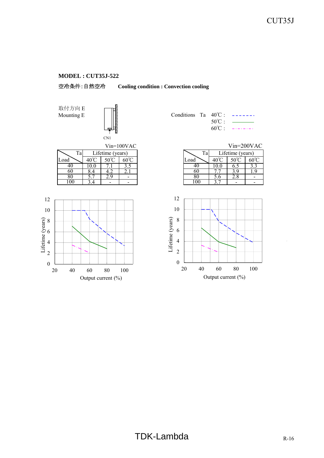

取付方向 E Mounting E  $\|\|\$ 







|  |                  | Conditions Ta $40^{\circ}$ C : $---$ |
|--|------------------|--------------------------------------|
|  | $50^{\circ}$ C · | المستداد                             |
|  |                  |                                      |

|                  |  | $Vin=100VAC$ |      |                  | $Vin=200VAC$ |
|------------------|--|--------------|------|------------------|--------------|
| Lifetime (years) |  |              | Tа   | Lifetime (years) |              |
| 4Օ°Ր             |  |              | Load |                  |              |
|                  |  |              | 41   |                  |              |
| 8.4              |  | ر .          | 60   |                  |              |
|                  |  |              | 80   | 2.0              |              |
|                  |  |              |      |                  |              |

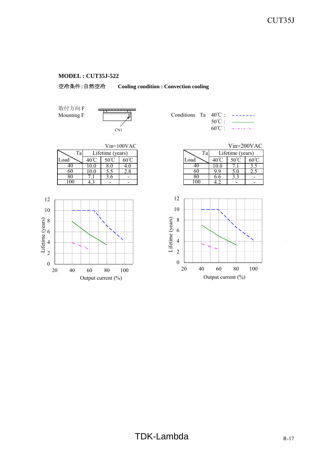

取付方向 F



|  | Conditions Ta $40^{\circ}$ C: $---$      |
|--|------------------------------------------|
|  | $50^{\circ}$ C $\cdot$ $\frac{1}{\cdot}$ |
|  | $60^{\circ}$ C : $---$                   |

|      |            |                  | $Vin=100VAC$   |         |      | $Vin=200VA$      |                |
|------|------------|------------------|----------------|---------|------|------------------|----------------|
| Ta   |            | Lifetime (years) |                | Ta      |      | Lifetime (years) |                |
| Load | 401        |                  | $60^{\circ}$ C | Load    |      |                  | $60^{\circ}$ C |
| 40   | <b>0.0</b> | δ.U              | 4.U            | 4U      | 10.U |                  |                |
| 60   | 0.0        | J.J              | 2.8            | 60      | 99   | 5.U              | 2.J            |
| 80   |            | 5.0              |                |         | o.o  | כ.כ              |                |
| .00  |            |                  |                | $_{00}$ |      |                  |                |
|      |            |                  |                |         |      |                  |                |



|    |                  |     | $Vin=100VAC$ |
|----|------------------|-----|--------------|
| Ta | Lifetime (years) |     |              |
|    |                  |     |              |
|    |                  |     |              |
|    |                  |     | $\angle$ .0  |
|    |                  | J.U |              |
|    |                  |     |              |
|    |                  |     |              |

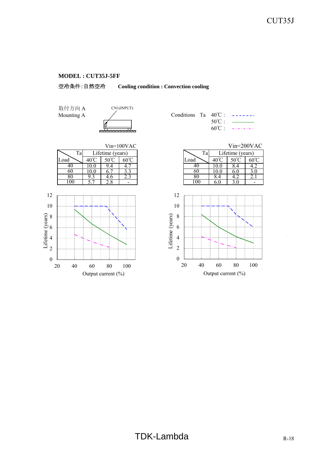

取付方向 A



|  | Conditions Ta $40^{\circ}$ C: ------ |
|--|--------------------------------------|
|  |                                      |
|  | $60^{\circ}$ C: $---$                |



|                  |   | $Vin=100VAC$ |      |     |                  | $Vin=200VAC$ |
|------------------|---|--------------|------|-----|------------------|--------------|
| Lifetime (years) |   |              | Ta   |     | Lifetime (years) |              |
| 40℃              |   |              | Load |     |                  |              |
|                  |   |              |      |     |                  |              |
| 10.0             |   |              | 60   |     |                  |              |
| 9.3              | n |              |      | 8.4 |                  |              |
|                  |   |              |      |     |                  |              |

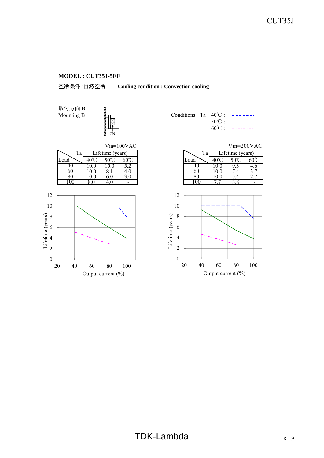空冷条件:自然空冷 **Cooling condition : Convection cooling**

取付方向 B Mounting B  $\frac{1}{2}$  (



|  | Conditions Ta $40^{\circ}$ C: ------ |
|--|--------------------------------------|
|  | $50^{\circ}$ C : $\qquad \qquad$     |
|  | $60^{\circ}$ C : $---$               |



|                  |  | $Vin=100VAC$ |      |                  | $Vin=200VAC$   |
|------------------|--|--------------|------|------------------|----------------|
| Lifetime (years) |  |              | Гa   | Lifetime (years) |                |
| 40°C             |  | ov           | Load |                  | $60^{\circ}$ C |
| 10.0             |  |              | 40   |                  |                |
| 10.0             |  |              | 60   |                  |                |
| 10.0             |  |              | 80   |                  |                |
| 8.0              |  |              |      |                  |                |

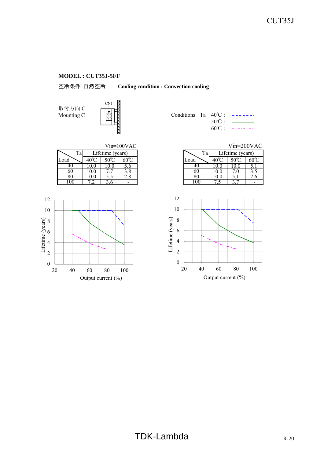空冷条件:自然空冷 **Cooling condition : Convection cooling**

取付方向 C



|      |     |                  | $Vin=100VAC$   |            |              | $Vin=200VA$      |                |
|------|-----|------------------|----------------|------------|--------------|------------------|----------------|
| Ta,  |     | Lifetime (years) |                | Ta         |              | Lifetime (years) |                |
| Load | 40. | $50^{\circ}$     | $60^{\circ}$ C | Load       | $40^{\circ}$ | 50°C             | $60^{\circ}$ C |
| 40   |     |                  | D.O            | 4U         |              |                  | J.,            |
| 60   | 0.0 |                  | 3.8            | ou         |              |                  | J.J            |
| 80   |     | ر.ر              | 2.8            | 80         | 10.U         |                  | 2.0            |
| .00  |     |                  |                | $($ $()()$ |              |                  |                |



|  | Conditions Ta $40^{\circ}$ C : -------  |
|--|-----------------------------------------|
|  | $50^{\circ}$ C : $\frac{1}{\leftarrow}$ |
|  | $60^{\circ}$ C: $---$                   |

|    |              |                  | $Vin=100VAC$ |  |
|----|--------------|------------------|--------------|--|
| Ta |              | Lifetime (years) |              |  |
|    | $40^{\circ}$ |                  | ഹ∞           |  |
|    | 0.0          |                  | D.O          |  |
|    |              |                  |              |  |
|    | 0.0          |                  | 2.8          |  |
|    |              |                  |              |  |

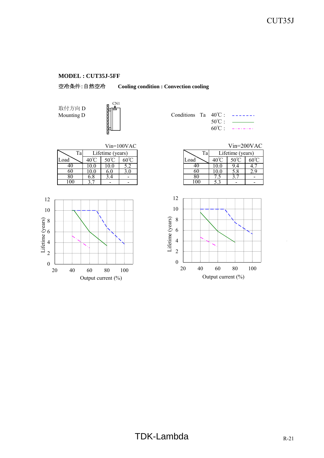空冷条件:自然空冷 **Cooling condition : Convection cooling**

取付方向 D



| Mounting D | Conditions Ta $40^{\circ}$ C : ------ |                 |  |
|------------|---------------------------------------|-----------------|--|
|            |                                       | $50^{\circ}$ C: |  |
|            |                                       | $60^{\circ}$ C  |  |

|      |              |                            | $Vin=100VAC$           |      |              | $Vin=200VA$      |                |
|------|--------------|----------------------------|------------------------|------|--------------|------------------|----------------|
| Ta   |              | Lifetime (years)           |                        | Ta   |              | Lifetime (years) |                |
| Load | $40^{\circ}$ | $\epsilon$ $\alpha$ $\sim$ | $60^{\circ}\mathrm{C}$ | Load | $40^{\circ}$ |                  | $60^{\circ}$ C |
| 40   | .U.U         |                            |                        | 40   |              | 9.4              | 4.             |
| 60   | .0.0         | 6.U                        | 3.U                    | 60   | 10.0         | 5.8              |                |
| 80   | O.O          | 3.4                        |                        | 80   |              | J.               |                |
| .00  |              |                            |                        | 00   |              | -                |                |



|    |     |                  | $Vin=100VAC$ |          | $Vin=200VAC$     |                        |
|----|-----|------------------|--------------|----------|------------------|------------------------|
| Ta |     | Lifetime (years) |              | Ta       | Lifetime (years) |                        |
|    |     |                  |              | Load     | 50°C             | $60^{\circ}\mathrm{C}$ |
|    |     |                  |              | 40       | .4               |                        |
|    | 0.0 |                  | 3.0          | 60       | 5.8              |                        |
|    | 6.8 |                  |              | 80       |                  |                        |
|    |     |                  |              | $\alpha$ |                  |                        |

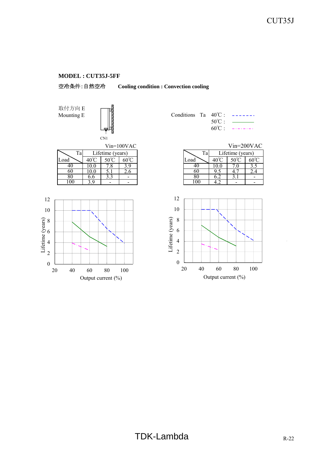

取付方向 E Mounting E  $\begin{array}{c} \boxed{3} \\ \boxed{1} \end{array}$  C



|      |     |                  | Vin=100VAC             |      |                              | Vin=200VA        |                |
|------|-----|------------------|------------------------|------|------------------------------|------------------|----------------|
| Ta   |     | Lifetime (years) |                        | Ta   |                              | Lifetime (years) |                |
| Load |     | $50^{\circ}C$    | $60^{\circ}\mathrm{C}$ | Load | $40^{\circ}$                 | $50^{\circ}C$    | $60^{\circ}$ C |
| 40   | 0.0 |                  |                        | 4U   |                              |                  | ب              |
| 60   | 0.0 | J.I              | 2.O                    | 60   |                              |                  | 2.4            |
| 80   | b.b | ر . ر            |                        | ŏυ   | $\mathsf{U}.\mathsf{\Delta}$ | J.I              |                |
| l 00 |     |                  |                        | .00  |                              |                  |                |



|  |                  | Conditions Ta $40^{\circ}$ C : ------ |
|--|------------------|---------------------------------------|
|  | $50^{\circ}$ C · | <b>Continued States</b>               |
|  |                  | $60^{\circ}$ C: $---$                 |

|    |              |                  | $Vin=100VAC$ |
|----|--------------|------------------|--------------|
| Ta |              | Lifetime (years) |              |
|    | $40^{\circ}$ |                  |              |
|    |              |                  |              |
|    | 0.0          |                  | 2.O          |
|    | 6.6          |                  |              |
|    | -c           |                  |              |

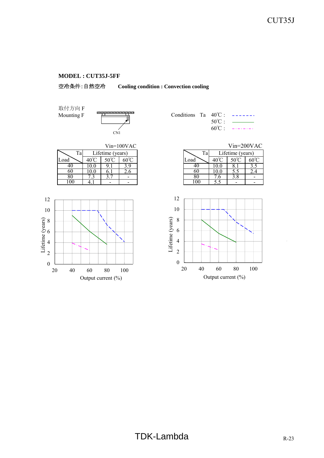

取付方向 F



|  |                  | Conditions Ta $40^{\circ}$ C : $---$                                               |
|--|------------------|------------------------------------------------------------------------------------|
|  | $50^{\circ}$ C : | $\overline{\phantom{a}}$ and $\overline{\phantom{a}}$ and $\overline{\phantom{a}}$ |
|  |                  | $60^{\circ}$ C: $---$                                                              |

|      |      |                  | $Vin=100VAC$      |      |       | $Vin=200VA$      |                |
|------|------|------------------|-------------------|------|-------|------------------|----------------|
| Ta   |      | Lifetime (years) |                   | Ta   |       | Lifetime (years) |                |
| Load | 40 C |                  | $\sim$ 0.0 $\sim$ | Load | 40    |                  | $60^{\circ}$ C |
| 4U   | U.U  |                  |                   |      | 1 V.U |                  | ن. ر           |
| 60   |      |                  | 2.0               | 6U   |       |                  |                |
| δU   |      |                  |                   |      |       | 3.8              |                |
| -00  |      |                  |                   | 00   |       |                  |                |



|    |                  | $Vin=100VAC$ |      | $Vin=200VAC$     |  |
|----|------------------|--------------|------|------------------|--|
| Ta | Lifetime (years) |              | Тa   | Lifetime (years) |  |
|    |                  |              | Load |                  |  |
|    |                  |              |      |                  |  |
|    |                  | 2.0          | 60   |                  |  |
|    |                  |              |      | 0. د             |  |
|    |                  |              | 00   |                  |  |

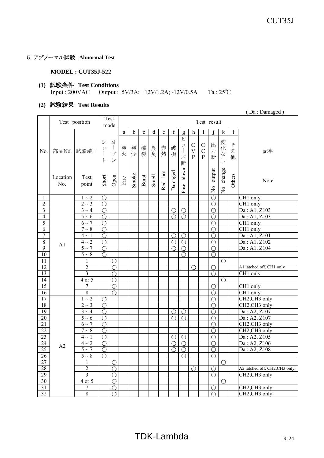## 5.アブノーマル試験 **Abnormal Test**

#### **MODEL : CUT35J-522**

#### **(1)** 試験条件 **Test Conditions** Input : 200VAC Output : 5V/3A; +12V/1.2A; -12V/0.5A Ta : 25℃

#### **(2)** 試験結果 **Test Results**

 <sup>(</sup> Da : Damaged )

| $\overline{f}$<br>b<br>d<br>I<br>$\mathbf k$<br>h<br>1<br>$\mathbf{a}$<br>$\mathbf c$<br>$\mathop{\rm e}\nolimits$<br>${\sf g}$<br>ヒ<br>才<br>シ<br>変化<br>z<br>出力<br>$\bigcirc$<br>O<br>ユ<br>$\overline{1}$<br>破裂<br>異臭<br>破<br>発火<br>発煙<br>赤<br>日<br>$\begin{array}{c} \hline \end{array}$<br>部品No. 試験端子<br>$\bar{\mathrm{V}}$<br>$\mathbf C$<br>$\mathcal{O}$<br>No.<br>記事<br>$\mathbf{I}$<br>熱<br>$\overline{t}$<br>$\mathcal{I}^{\circ}$<br>損<br>ズ<br>断<br>$\mathbf P$<br>$\mathbf{P}$<br>他<br>$\overline{\mathscr{S}}$<br>$\vdash$<br>$\cup$<br>断<br>change<br>blown<br>output<br>Damaged<br>Red hot<br>Smoke<br>Others<br>Smell<br>Burst<br>Short<br>Open<br>Location<br>Test<br>Fire<br>Note<br>No.<br>point<br>Fuse<br>$\frac{1}{2}$<br>$\frac{1}{2}$<br>$\overline{O}$<br>$\overline{CH1}$ only<br>1<br>$1\sim2$<br>$\bigcirc$<br>$\overline{c}$<br>CH1 only<br>$2\sim3$<br>$\bigcirc$<br>О<br>$\mathfrak{Z}$<br>Da: A1, Z103<br>$3 \sim 4$<br>$\bigcirc$<br>О<br>О<br>$\bigcirc$<br>Da: A1, Z103<br>$\overline{4}$<br>$5\sim6$<br>$\bigcirc$<br>$\bigcirc$<br>O<br>$\bigcirc$<br>5<br>CH1 only<br>$6\sim$ 7<br>$\bigcirc$<br>$\bigcirc$<br>$\overline{6}$<br>CH <sub>1</sub> only<br>$7 \sim 8$<br>◯<br>∩<br>$\overline{7}$<br>Da: A1, Z101<br>$4 \sim 1$<br>$\bigcirc$<br>$\bigcirc$<br>$\bigcirc$<br>∩<br>$\boldsymbol{8}$<br>Da: A1, Z102<br>$4\sim2$<br>$\bigcirc$<br>$\bigcirc$<br>$\bigcirc$<br>$\bigcirc$<br>A <sub>1</sub><br>9<br>$\overline{5} \sim 7$<br>Da: A1, Z104<br>O<br>O<br>∩<br>∩<br>10<br>$5\sim8$<br>$\bigcirc$<br>$\bigcirc$<br>$\bigcirc$<br>11<br>1<br>∩<br>$\bigcirc$<br>$\overline{12}$<br>$\overline{2}$<br>A1 latched off, CH1 only<br>$\bigcirc$<br>$\bigcap$<br>∩<br>$\overline{3}$<br>13<br>CH1 only<br>∩<br>$\bigcirc$<br>14<br>$4$ or $5$<br>◯<br>∩<br>$\overline{15}$<br>CH1 only<br>∩<br>7<br>∩<br>$\overline{8}$<br>CH1 only<br>16<br>$\bigcirc$<br>$\bigcirc$<br>17<br>$1 \sim 2$<br>CH2,CH3 only<br>$\bigcirc$<br>∩<br>18<br>CH2,CH3 only<br>$2\sim3$<br>$\left(\right)$<br>$\left( \right)$<br>$\overline{19}$<br>Da: A2, Z107<br>$3 \sim 4$<br>$\bigcirc$<br>O<br>$\bigcirc$<br>$\bigcirc$<br>Da: A2, Z107<br>$\overline{20}$<br>$\overline{5}$ ~ 6<br>$\bigcirc$<br>$\bigcirc$<br>∩<br>∩<br>21<br>$\overline{6} \sim 7$<br>CH2,CH3 only<br>∩<br>$\bigcirc$<br>22<br>CH2,CH3 only<br>$7\sim8$<br>◯<br>∩ |    | Test position |            | Test<br>mode |  |  |            |            | Test result |            |  |              |
|---------------------------------------------------------------------------------------------------------------------------------------------------------------------------------------------------------------------------------------------------------------------------------------------------------------------------------------------------------------------------------------------------------------------------------------------------------------------------------------------------------------------------------------------------------------------------------------------------------------------------------------------------------------------------------------------------------------------------------------------------------------------------------------------------------------------------------------------------------------------------------------------------------------------------------------------------------------------------------------------------------------------------------------------------------------------------------------------------------------------------------------------------------------------------------------------------------------------------------------------------------------------------------------------------------------------------------------------------------------------------------------------------------------------------------------------------------------------------------------------------------------------------------------------------------------------------------------------------------------------------------------------------------------------------------------------------------------------------------------------------------------------------------------------------------------------------------------------------------------------------------------------------------------------------------------------------------------------------------------------------------------------------------------------------------------------------------------------------------------------------------------------------------------------------------------------------------------------------------------------------------------------------------------------------------------------------------------------------------|----|---------------|------------|--------------|--|--|------------|------------|-------------|------------|--|--------------|
|                                                                                                                                                                                                                                                                                                                                                                                                                                                                                                                                                                                                                                                                                                                                                                                                                                                                                                                                                                                                                                                                                                                                                                                                                                                                                                                                                                                                                                                                                                                                                                                                                                                                                                                                                                                                                                                                                                                                                                                                                                                                                                                                                                                                                                                                                                                                                         |    |               |            |              |  |  |            |            |             |            |  |              |
|                                                                                                                                                                                                                                                                                                                                                                                                                                                                                                                                                                                                                                                                                                                                                                                                                                                                                                                                                                                                                                                                                                                                                                                                                                                                                                                                                                                                                                                                                                                                                                                                                                                                                                                                                                                                                                                                                                                                                                                                                                                                                                                                                                                                                                                                                                                                                         |    |               |            |              |  |  |            |            |             |            |  |              |
|                                                                                                                                                                                                                                                                                                                                                                                                                                                                                                                                                                                                                                                                                                                                                                                                                                                                                                                                                                                                                                                                                                                                                                                                                                                                                                                                                                                                                                                                                                                                                                                                                                                                                                                                                                                                                                                                                                                                                                                                                                                                                                                                                                                                                                                                                                                                                         |    |               |            |              |  |  |            |            |             |            |  |              |
|                                                                                                                                                                                                                                                                                                                                                                                                                                                                                                                                                                                                                                                                                                                                                                                                                                                                                                                                                                                                                                                                                                                                                                                                                                                                                                                                                                                                                                                                                                                                                                                                                                                                                                                                                                                                                                                                                                                                                                                                                                                                                                                                                                                                                                                                                                                                                         |    |               |            |              |  |  |            |            |             |            |  |              |
|                                                                                                                                                                                                                                                                                                                                                                                                                                                                                                                                                                                                                                                                                                                                                                                                                                                                                                                                                                                                                                                                                                                                                                                                                                                                                                                                                                                                                                                                                                                                                                                                                                                                                                                                                                                                                                                                                                                                                                                                                                                                                                                                                                                                                                                                                                                                                         |    |               |            |              |  |  |            |            |             |            |  |              |
|                                                                                                                                                                                                                                                                                                                                                                                                                                                                                                                                                                                                                                                                                                                                                                                                                                                                                                                                                                                                                                                                                                                                                                                                                                                                                                                                                                                                                                                                                                                                                                                                                                                                                                                                                                                                                                                                                                                                                                                                                                                                                                                                                                                                                                                                                                                                                         |    |               |            |              |  |  |            |            |             |            |  |              |
|                                                                                                                                                                                                                                                                                                                                                                                                                                                                                                                                                                                                                                                                                                                                                                                                                                                                                                                                                                                                                                                                                                                                                                                                                                                                                                                                                                                                                                                                                                                                                                                                                                                                                                                                                                                                                                                                                                                                                                                                                                                                                                                                                                                                                                                                                                                                                         |    |               |            |              |  |  |            |            |             |            |  |              |
|                                                                                                                                                                                                                                                                                                                                                                                                                                                                                                                                                                                                                                                                                                                                                                                                                                                                                                                                                                                                                                                                                                                                                                                                                                                                                                                                                                                                                                                                                                                                                                                                                                                                                                                                                                                                                                                                                                                                                                                                                                                                                                                                                                                                                                                                                                                                                         |    |               |            |              |  |  |            |            |             |            |  |              |
|                                                                                                                                                                                                                                                                                                                                                                                                                                                                                                                                                                                                                                                                                                                                                                                                                                                                                                                                                                                                                                                                                                                                                                                                                                                                                                                                                                                                                                                                                                                                                                                                                                                                                                                                                                                                                                                                                                                                                                                                                                                                                                                                                                                                                                                                                                                                                         |    |               |            |              |  |  |            |            |             |            |  |              |
|                                                                                                                                                                                                                                                                                                                                                                                                                                                                                                                                                                                                                                                                                                                                                                                                                                                                                                                                                                                                                                                                                                                                                                                                                                                                                                                                                                                                                                                                                                                                                                                                                                                                                                                                                                                                                                                                                                                                                                                                                                                                                                                                                                                                                                                                                                                                                         |    |               |            |              |  |  |            |            |             |            |  |              |
|                                                                                                                                                                                                                                                                                                                                                                                                                                                                                                                                                                                                                                                                                                                                                                                                                                                                                                                                                                                                                                                                                                                                                                                                                                                                                                                                                                                                                                                                                                                                                                                                                                                                                                                                                                                                                                                                                                                                                                                                                                                                                                                                                                                                                                                                                                                                                         |    |               |            |              |  |  |            |            |             |            |  |              |
|                                                                                                                                                                                                                                                                                                                                                                                                                                                                                                                                                                                                                                                                                                                                                                                                                                                                                                                                                                                                                                                                                                                                                                                                                                                                                                                                                                                                                                                                                                                                                                                                                                                                                                                                                                                                                                                                                                                                                                                                                                                                                                                                                                                                                                                                                                                                                         |    |               |            |              |  |  |            |            |             |            |  |              |
|                                                                                                                                                                                                                                                                                                                                                                                                                                                                                                                                                                                                                                                                                                                                                                                                                                                                                                                                                                                                                                                                                                                                                                                                                                                                                                                                                                                                                                                                                                                                                                                                                                                                                                                                                                                                                                                                                                                                                                                                                                                                                                                                                                                                                                                                                                                                                         |    |               |            |              |  |  |            |            |             |            |  |              |
|                                                                                                                                                                                                                                                                                                                                                                                                                                                                                                                                                                                                                                                                                                                                                                                                                                                                                                                                                                                                                                                                                                                                                                                                                                                                                                                                                                                                                                                                                                                                                                                                                                                                                                                                                                                                                                                                                                                                                                                                                                                                                                                                                                                                                                                                                                                                                         |    |               |            |              |  |  |            |            |             |            |  |              |
|                                                                                                                                                                                                                                                                                                                                                                                                                                                                                                                                                                                                                                                                                                                                                                                                                                                                                                                                                                                                                                                                                                                                                                                                                                                                                                                                                                                                                                                                                                                                                                                                                                                                                                                                                                                                                                                                                                                                                                                                                                                                                                                                                                                                                                                                                                                                                         |    |               |            |              |  |  |            |            |             |            |  |              |
|                                                                                                                                                                                                                                                                                                                                                                                                                                                                                                                                                                                                                                                                                                                                                                                                                                                                                                                                                                                                                                                                                                                                                                                                                                                                                                                                                                                                                                                                                                                                                                                                                                                                                                                                                                                                                                                                                                                                                                                                                                                                                                                                                                                                                                                                                                                                                         |    |               |            |              |  |  |            |            |             |            |  |              |
|                                                                                                                                                                                                                                                                                                                                                                                                                                                                                                                                                                                                                                                                                                                                                                                                                                                                                                                                                                                                                                                                                                                                                                                                                                                                                                                                                                                                                                                                                                                                                                                                                                                                                                                                                                                                                                                                                                                                                                                                                                                                                                                                                                                                                                                                                                                                                         |    |               |            |              |  |  |            |            |             |            |  |              |
|                                                                                                                                                                                                                                                                                                                                                                                                                                                                                                                                                                                                                                                                                                                                                                                                                                                                                                                                                                                                                                                                                                                                                                                                                                                                                                                                                                                                                                                                                                                                                                                                                                                                                                                                                                                                                                                                                                                                                                                                                                                                                                                                                                                                                                                                                                                                                         |    |               |            |              |  |  |            |            |             |            |  |              |
|                                                                                                                                                                                                                                                                                                                                                                                                                                                                                                                                                                                                                                                                                                                                                                                                                                                                                                                                                                                                                                                                                                                                                                                                                                                                                                                                                                                                                                                                                                                                                                                                                                                                                                                                                                                                                                                                                                                                                                                                                                                                                                                                                                                                                                                                                                                                                         |    |               |            |              |  |  |            |            |             |            |  |              |
|                                                                                                                                                                                                                                                                                                                                                                                                                                                                                                                                                                                                                                                                                                                                                                                                                                                                                                                                                                                                                                                                                                                                                                                                                                                                                                                                                                                                                                                                                                                                                                                                                                                                                                                                                                                                                                                                                                                                                                                                                                                                                                                                                                                                                                                                                                                                                         |    |               |            |              |  |  |            |            |             |            |  |              |
|                                                                                                                                                                                                                                                                                                                                                                                                                                                                                                                                                                                                                                                                                                                                                                                                                                                                                                                                                                                                                                                                                                                                                                                                                                                                                                                                                                                                                                                                                                                                                                                                                                                                                                                                                                                                                                                                                                                                                                                                                                                                                                                                                                                                                                                                                                                                                         |    |               |            |              |  |  |            |            |             |            |  |              |
|                                                                                                                                                                                                                                                                                                                                                                                                                                                                                                                                                                                                                                                                                                                                                                                                                                                                                                                                                                                                                                                                                                                                                                                                                                                                                                                                                                                                                                                                                                                                                                                                                                                                                                                                                                                                                                                                                                                                                                                                                                                                                                                                                                                                                                                                                                                                                         |    |               |            |              |  |  |            |            |             |            |  |              |
|                                                                                                                                                                                                                                                                                                                                                                                                                                                                                                                                                                                                                                                                                                                                                                                                                                                                                                                                                                                                                                                                                                                                                                                                                                                                                                                                                                                                                                                                                                                                                                                                                                                                                                                                                                                                                                                                                                                                                                                                                                                                                                                                                                                                                                                                                                                                                         |    |               |            |              |  |  |            |            |             |            |  |              |
|                                                                                                                                                                                                                                                                                                                                                                                                                                                                                                                                                                                                                                                                                                                                                                                                                                                                                                                                                                                                                                                                                                                                                                                                                                                                                                                                                                                                                                                                                                                                                                                                                                                                                                                                                                                                                                                                                                                                                                                                                                                                                                                                                                                                                                                                                                                                                         |    |               |            |              |  |  |            |            |             |            |  |              |
|                                                                                                                                                                                                                                                                                                                                                                                                                                                                                                                                                                                                                                                                                                                                                                                                                                                                                                                                                                                                                                                                                                                                                                                                                                                                                                                                                                                                                                                                                                                                                                                                                                                                                                                                                                                                                                                                                                                                                                                                                                                                                                                                                                                                                                                                                                                                                         | 23 | $4 \sim 1$    | $\bigcirc$ |              |  |  | $\bigcirc$ | $\bigcirc$ |             | $\bigcirc$ |  | Da: A2, Z105 |
| $\overline{24}$<br>Da: A2, Z106<br>$4\sim 2$<br>$\bigcirc$<br>$\bigcirc$<br>$\bigcirc$<br>О                                                                                                                                                                                                                                                                                                                                                                                                                                                                                                                                                                                                                                                                                                                                                                                                                                                                                                                                                                                                                                                                                                                                                                                                                                                                                                                                                                                                                                                                                                                                                                                                                                                                                                                                                                                                                                                                                                                                                                                                                                                                                                                                                                                                                                                             |    |               |            |              |  |  |            |            |             |            |  |              |
| A2<br>25<br>Da: A2, Z108<br>$5 \sim 7$<br>$\bigcirc$<br>$\bigcirc$<br>$\left(\right)$<br>O                                                                                                                                                                                                                                                                                                                                                                                                                                                                                                                                                                                                                                                                                                                                                                                                                                                                                                                                                                                                                                                                                                                                                                                                                                                                                                                                                                                                                                                                                                                                                                                                                                                                                                                                                                                                                                                                                                                                                                                                                                                                                                                                                                                                                                                              |    |               |            |              |  |  |            |            |             |            |  |              |
| $\overline{26}$<br>$5\sim 8$<br>$\bigcirc$<br>$\bigcirc$<br>$\bigcirc$                                                                                                                                                                                                                                                                                                                                                                                                                                                                                                                                                                                                                                                                                                                                                                                                                                                                                                                                                                                                                                                                                                                                                                                                                                                                                                                                                                                                                                                                                                                                                                                                                                                                                                                                                                                                                                                                                                                                                                                                                                                                                                                                                                                                                                                                                  |    |               |            |              |  |  |            |            |             |            |  |              |
| $\overline{27}$<br>1<br>$\bigcirc$<br>O                                                                                                                                                                                                                                                                                                                                                                                                                                                                                                                                                                                                                                                                                                                                                                                                                                                                                                                                                                                                                                                                                                                                                                                                                                                                                                                                                                                                                                                                                                                                                                                                                                                                                                                                                                                                                                                                                                                                                                                                                                                                                                                                                                                                                                                                                                                 |    |               |            |              |  |  |            |            |             |            |  |              |
| $\overline{2}$<br>28<br>A2 latched off, CH2, CH3 only<br>∩<br>◯<br>∩                                                                                                                                                                                                                                                                                                                                                                                                                                                                                                                                                                                                                                                                                                                                                                                                                                                                                                                                                                                                                                                                                                                                                                                                                                                                                                                                                                                                                                                                                                                                                                                                                                                                                                                                                                                                                                                                                                                                                                                                                                                                                                                                                                                                                                                                                    |    |               |            |              |  |  |            |            |             |            |  |              |
| $\overline{3}$<br>29<br>CH2,CH3 only<br>$\bigcap$<br>$\bigcirc$                                                                                                                                                                                                                                                                                                                                                                                                                                                                                                                                                                                                                                                                                                                                                                                                                                                                                                                                                                                                                                                                                                                                                                                                                                                                                                                                                                                                                                                                                                                                                                                                                                                                                                                                                                                                                                                                                                                                                                                                                                                                                                                                                                                                                                                                                         |    |               |            |              |  |  |            |            |             |            |  |              |
| 30<br>4 or 5<br>$\bigcirc$<br>$\bigcirc$                                                                                                                                                                                                                                                                                                                                                                                                                                                                                                                                                                                                                                                                                                                                                                                                                                                                                                                                                                                                                                                                                                                                                                                                                                                                                                                                                                                                                                                                                                                                                                                                                                                                                                                                                                                                                                                                                                                                                                                                                                                                                                                                                                                                                                                                                                                |    |               |            |              |  |  |            |            |             |            |  |              |
| $\overline{31}$<br>7<br>CH2,CH3 only<br>O<br>O                                                                                                                                                                                                                                                                                                                                                                                                                                                                                                                                                                                                                                                                                                                                                                                                                                                                                                                                                                                                                                                                                                                                                                                                                                                                                                                                                                                                                                                                                                                                                                                                                                                                                                                                                                                                                                                                                                                                                                                                                                                                                                                                                                                                                                                                                                          |    |               |            |              |  |  |            |            |             |            |  |              |
| 32<br>$\overline{8}$<br>CH2,CH3 only<br>$\bigcirc$<br>$\bigcirc$                                                                                                                                                                                                                                                                                                                                                                                                                                                                                                                                                                                                                                                                                                                                                                                                                                                                                                                                                                                                                                                                                                                                                                                                                                                                                                                                                                                                                                                                                                                                                                                                                                                                                                                                                                                                                                                                                                                                                                                                                                                                                                                                                                                                                                                                                        |    |               |            |              |  |  |            |            |             |            |  |              |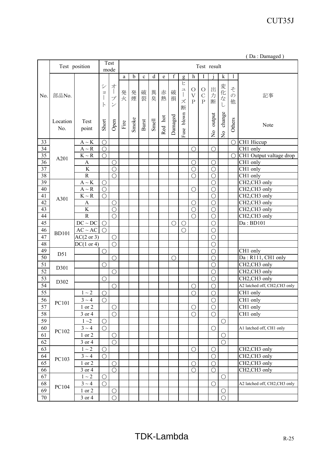|  | (Da: Damaged) |  |
|--|---------------|--|
|--|---------------|--|

|                 | Test<br>Test position<br>Test result<br>mode |                              |                                        |                                                                                         |        |       |             |       |         |                  |                                                                |                                             |                                          |                         |                                          |                         |                                        |
|-----------------|----------------------------------------------|------------------------------|----------------------------------------|-----------------------------------------------------------------------------------------|--------|-------|-------------|-------|---------|------------------|----------------------------------------------------------------|---------------------------------------------|------------------------------------------|-------------------------|------------------------------------------|-------------------------|----------------------------------------|
|                 |                                              |                              |                                        |                                                                                         | a      | b     | $\mathbf c$ | d     | e       | $\boldsymbol{f}$ |                                                                | h                                           |                                          |                         | k                                        | 1                       |                                        |
| No.             | 部品No.                                        |                              | $\ddot{\vee}$<br>$\exists$<br>$\vdash$ | 才<br>$\begin{array}{c} \hline \end{array}$<br>$\mathcal{I}$<br>$\overline{\mathscr{S}}$ | 発<br>火 | 発煙    | 破裂          | 異臭    | 赤<br>熱  | 破<br>損           | g<br>ヒ<br>ユ<br>$\begin{array}{c} \hline \end{array}$<br>ズ<br>断 | $\bigcirc$<br>$\bar{\mathbf{V}}$<br>$\rm P$ | $\circ$<br>$\mathcal{C}$<br>$\, {\bf P}$ | 出<br>力<br>断             | 変化、<br>$\vec{z}$<br>L                    | そ<br>$\mathcal{O}$<br>他 | 記事                                     |
|                 | Location<br>No.                              | Test<br>point                | Short                                  | Open                                                                                    | Fire   | Smoke | Burst       | Smell | Red hot | Damaged          | Fuse blown                                                     |                                             |                                          | output<br>$\frac{1}{2}$ | change<br>$\mathop{\mathsf{S}}\nolimits$ | Others                  | Note                                   |
| 33              |                                              | $A \sim K$                   | $\bigcirc$                             |                                                                                         |        |       |             |       |         |                  |                                                                |                                             |                                          |                         |                                          | $\bigcirc$              | CH1 Hiccup                             |
| $\overline{34}$ |                                              | $A \sim R$                   | $\bigcirc$                             |                                                                                         |        |       |             |       |         |                  |                                                                | $\bigcirc$                                  |                                          | $\bigcirc$              |                                          |                         | CH1 only                               |
| $\overline{35}$ | A201                                         | $K\sim R$                    | $\bigcirc$                             |                                                                                         |        |       |             |       |         |                  |                                                                |                                             |                                          |                         |                                          | $\bigcirc$              | CH1 Output valtage drop                |
| 36              |                                              | A                            |                                        | $\bigcirc$                                                                              |        |       |             |       |         |                  |                                                                | $\bigcirc$                                  |                                          | $\bigcirc$              |                                          |                         | CH1 only                               |
| 37              |                                              | $\rm K$                      |                                        | $\bigcirc$                                                                              |        |       |             |       |         |                  |                                                                | $\bigcirc$                                  |                                          | $\bigcirc$              |                                          |                         | $\overline{CH1}$ only                  |
| 38              |                                              | $\mathbf R$                  |                                        | $\bigcirc$                                                                              |        |       |             |       |         |                  |                                                                | $\bigcirc$                                  |                                          | $\bigcirc$              |                                          |                         | $CH1$ only                             |
| 39              |                                              | $\mathbf{A} \sim \mathbf{K}$ | $\bigcirc$                             |                                                                                         |        |       |             |       |         |                  |                                                                |                                             |                                          | $\bigcirc$              |                                          |                         | CH2,CH3 only                           |
| $40\,$          |                                              | $A \sim R$                   | $\bigcirc$                             |                                                                                         |        |       |             |       |         |                  |                                                                | $\bigcirc$                                  |                                          | $\bigcirc$              |                                          |                         | CH2,CH3 only                           |
| 41              | A301                                         | $K\sim R$                    | $\bigcirc$                             |                                                                                         |        |       |             |       |         |                  |                                                                |                                             |                                          | $\bigcirc$              |                                          |                         | CH2,CH3 only                           |
| 42              |                                              | A                            |                                        | $\bigcirc$                                                                              |        |       |             |       |         |                  |                                                                | $\bigcirc$                                  |                                          | $\bigcirc$              |                                          |                         | CH2,CH3 only                           |
| 43              |                                              | $\rm K$                      |                                        | $\overline{O}$                                                                          |        |       |             |       |         |                  |                                                                | $\bigcirc$                                  |                                          | O                       |                                          |                         | CH <sub>2</sub> , CH <sub>3</sub> only |
| 44              |                                              | $\overline{R}$               |                                        | $\bigcirc$                                                                              |        |       |             |       |         |                  |                                                                | $\bigcirc$                                  |                                          | $\bigcirc$              |                                          |                         | CH2, CH3 only                          |
| 45              |                                              | $DC \sim DC$                 | $\bigcirc$                             |                                                                                         |        |       |             |       |         | $\bigcirc$       | $\bigcirc$                                                     |                                             |                                          | $\bigcirc$              |                                          |                         | Da: BD101                              |
| 46              | <b>BD101</b>                                 | $AC \sim AC$                 | $\bigcirc$                             |                                                                                         |        |       |             |       |         |                  | $\overline{O}$                                                 |                                             |                                          | $\bigcirc$              |                                          |                         |                                        |
| 47              |                                              | $AC(2 \text{ or } 3)$        |                                        | $\bigcirc$                                                                              |        |       |             |       |         |                  |                                                                |                                             |                                          | $\bigcirc$              |                                          |                         |                                        |
| 48              |                                              | $DC(1 \text{ or } 4)$        |                                        | $\bigcirc$                                                                              |        |       |             |       |         |                  |                                                                |                                             |                                          | $\bigcirc$              |                                          |                         |                                        |
| 49              |                                              |                              | $\bigcirc$                             |                                                                                         |        |       |             |       |         |                  |                                                                |                                             |                                          | $\bigcirc$              |                                          |                         | $\overline{CH1}$ only                  |
| 50              | D51                                          |                              |                                        | $\bigcirc$                                                                              |        |       |             |       |         | O                |                                                                |                                             |                                          | $\bigcirc$              |                                          |                         | Da: R111, CH1 only                     |
| 51              |                                              |                              | $\bigcirc$                             |                                                                                         |        |       |             |       |         |                  |                                                                |                                             |                                          | $\bigcirc$              |                                          |                         | CH2,CH3 only                           |
| 52              | D301                                         |                              |                                        | $\bigcirc$                                                                              |        |       |             |       |         |                  |                                                                |                                             |                                          | $\bigcirc$              |                                          |                         | CH2,CH3 only                           |
| 53              |                                              |                              | $\bigcirc$                             |                                                                                         |        |       |             |       |         |                  |                                                                |                                             |                                          | $\overline{O}$          |                                          |                         | CH2,CH3 only                           |
| $\overline{54}$ | D302                                         |                              |                                        | $\bigcirc$                                                                              |        |       |             |       |         |                  |                                                                | $\bigcirc$                                  |                                          | $\bigcirc$              |                                          |                         | A2 latched off, CH2,CH3 only           |
| 55              |                                              | $1\sim 2$                    | $\bigcirc$                             |                                                                                         |        |       |             |       |         |                  |                                                                | $\bigcirc$                                  |                                          | $\bigcirc$              |                                          |                         | CH1 only                               |
| 56              |                                              | $3 \sim 4$                   | $\bigcirc$                             |                                                                                         |        |       |             |       |         |                  |                                                                |                                             |                                          | $\bigcirc$              |                                          |                         | CH1 only                               |
| 57              | PC101                                        | 1 or 2                       |                                        | $\bigcirc$                                                                              |        |       |             |       |         |                  |                                                                | $\bigcirc$                                  |                                          | $\bigcirc$              |                                          |                         | CH1 only                               |
| 58              |                                              | 3 or 4                       |                                        | $\overline{O}$                                                                          |        |       |             |       |         |                  |                                                                | $\bigcirc$                                  |                                          | $\bigcirc$              |                                          |                         | CH1 only                               |
| 59              |                                              | $1 - 2$                      | $\bigcirc$                             |                                                                                         |        |       |             |       |         |                  |                                                                |                                             |                                          |                         | $\bigcirc$                               |                         |                                        |
| 60              |                                              | $3 \sim 4$                   | $\bigcirc$                             |                                                                                         |        |       |             |       |         |                  |                                                                |                                             |                                          | $\bigcirc$              |                                          |                         | A1 latched off, CH1 only               |
| 61              | PC102                                        | 1 or 2                       |                                        | $\bigcirc$                                                                              |        |       |             |       |         |                  |                                                                |                                             |                                          |                         |                                          |                         |                                        |
| 62              |                                              | 3 or 4                       |                                        |                                                                                         |        |       |             |       |         |                  |                                                                |                                             |                                          |                         | $\bigcirc$                               |                         |                                        |
|                 |                                              | $1\sim 2$                    |                                        | $\bigcirc$                                                                              |        |       |             |       |         |                  |                                                                |                                             |                                          |                         | $\bigcirc$                               |                         |                                        |
| 63              |                                              |                              | $\bigcirc$                             |                                                                                         |        |       |             |       |         |                  |                                                                | $\bigcirc$                                  |                                          | $\bigcirc$              |                                          |                         | CH2,CH3 only                           |
| 64              | PC103                                        | $3 \sim 4$                   | $\bigcirc$                             |                                                                                         |        |       |             |       |         |                  |                                                                |                                             |                                          | $\bigcirc$              |                                          |                         | $\overline{CH2,CH3}$ only              |
| 65              |                                              | 1 or 2                       |                                        | $\bigcirc$                                                                              |        |       |             |       |         |                  |                                                                | $\bigcirc$                                  |                                          | $\bigcirc$              |                                          |                         | CH2,CH3 only                           |
| 66              |                                              | 3 or 4                       |                                        | $\overline{O}$                                                                          |        |       |             |       |         |                  |                                                                | $\bigcap$                                   |                                          | $\bigcirc$              |                                          |                         | CH2,CH3 only                           |
| 67              |                                              | $1\sim 2$                    | $\bigcirc$                             |                                                                                         |        |       |             |       |         |                  |                                                                |                                             |                                          |                         | $\bigcirc$                               |                         |                                        |
| 68              | PC104                                        | $3 \sim 4$                   | $\bigcirc$                             |                                                                                         |        |       |             |       |         |                  |                                                                |                                             |                                          | $\bigcirc$              |                                          |                         | A2 latched off, CH2,CH3 only           |
| 69              |                                              | 1 or 2                       |                                        | $\bigcirc$                                                                              |        |       |             |       |         |                  |                                                                |                                             |                                          |                         | $\bigcirc$                               |                         |                                        |
| 70              |                                              | 3 or 4                       |                                        | $\bigcirc$                                                                              |        |       |             |       |         |                  |                                                                |                                             |                                          |                         | $\bigcirc$                               |                         |                                        |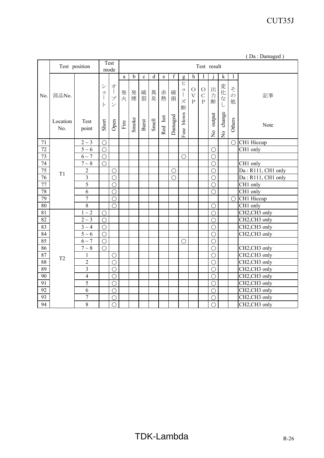|  | (Da: Damaged) |  |
|--|---------------|--|
|  |               |  |

|                 | Test position  |                |                            | Test<br>mode             |                       | Test result |             |             |             |             |                                                                                                                                                                                                                                                                                                                                                                                                                                     |                          |                                |                |               |               |                    |
|-----------------|----------------|----------------|----------------------------|--------------------------|-----------------------|-------------|-------------|-------------|-------------|-------------|-------------------------------------------------------------------------------------------------------------------------------------------------------------------------------------------------------------------------------------------------------------------------------------------------------------------------------------------------------------------------------------------------------------------------------------|--------------------------|--------------------------------|----------------|---------------|---------------|--------------------|
|                 |                |                |                            |                          | a                     | $\mathbf b$ | $\mathbf c$ | $\mathbf d$ | $\mathbf e$ | $\mathbf f$ |                                                                                                                                                                                                                                                                                                                                                                                                                                     | h                        |                                |                | k             | 1             |                    |
| No.             |                |                |                            |                          |                       |             |             |             |             |             | $\mathbf{g}% _{T}=\mathbf{g}_{T}=\mathbf{g}_{T}=\mathbf{g}_{T}=\mathbf{g}_{T}=\mathbf{g}_{T}=\mathbf{g}_{T}=\mathbf{g}_{T}=\mathbf{g}_{T}=\mathbf{g}_{T}=\mathbf{g}_{T}=\mathbf{g}_{T}=\mathbf{g}_{T}=\mathbf{g}_{T}=\mathbf{g}_{T}=\mathbf{g}_{T}=\mathbf{g}_{T}=\mathbf{g}_{T}=\mathbf{g}_{T}=\mathbf{g}_{T}=\mathbf{g}_{T}=\mathbf{g}_{T}=\mathbf{g}_{T}=\mathbf{g}_{T}=\mathbf{g}_{T}=\mathbf{g}_{T}=\mathbf{g}_{T}=\math$<br>ヒ |                          |                                |                |               |               |                    |
|                 | 部品No.          |                | $\ddot{\vee}$<br>$\exists$ | 才                        | 発                     |             |             |             | 赤           | 破           | ユ                                                                                                                                                                                                                                                                                                                                                                                                                                   | $\bigcirc$               | $\bigcirc$                     | 出              |               | z             |                    |
|                 |                |                |                            | プ                        | 火                     | 発煙          | 破裂          | 異臭          | 熱           | 損           | $\begin{array}{c} \hline \end{array}$<br>ズ                                                                                                                                                                                                                                                                                                                                                                                          | $\bar{V}$<br>$\mathbf P$ | $\overline{C}$<br>$\mathbf{P}$ | 力              | 変化な           | $\mathcal{O}$ | 記事                 |
|                 |                |                | $\vdash$                   | $\overline{\mathscr{S}}$ |                       |             |             |             |             |             | 断                                                                                                                                                                                                                                                                                                                                                                                                                                   |                          |                                | 断              | L             | 他             |                    |
|                 |                |                |                            |                          |                       |             |             |             |             |             |                                                                                                                                                                                                                                                                                                                                                                                                                                     |                          |                                |                |               |               |                    |
|                 | Location       | Test           | Short                      | Open                     | $\operatorname{Fire}$ | Smoke       | Burst       | Smell       |             |             |                                                                                                                                                                                                                                                                                                                                                                                                                                     |                          |                                | output         | change        | Others        | Note               |
|                 | No.            | point          |                            |                          |                       |             |             |             | Red hot     | Damaged     | Fuse blown                                                                                                                                                                                                                                                                                                                                                                                                                          |                          |                                | $\frac{1}{2}$  |               |               |                    |
|                 |                |                |                            |                          |                       |             |             |             |             |             |                                                                                                                                                                                                                                                                                                                                                                                                                                     |                          |                                |                | $\frac{1}{2}$ |               |                    |
| 71              |                | $2 \sim 3$     | $\bigcirc$                 |                          |                       |             |             |             |             |             |                                                                                                                                                                                                                                                                                                                                                                                                                                     |                          |                                |                |               | $\bigcirc$    | CH1 Hiccup         |
| $\overline{72}$ |                | $5\sim6$       | $\bigcirc$                 |                          |                       |             |             |             |             |             |                                                                                                                                                                                                                                                                                                                                                                                                                                     |                          |                                | $\bigcirc$     |               |               | CH1 only           |
| $\overline{73}$ |                | $6\sim7$       | $\bigcirc$                 |                          |                       |             |             |             |             |             | $\bigcirc$                                                                                                                                                                                                                                                                                                                                                                                                                          |                          |                                | $\bigcirc$     |               |               |                    |
| 74              |                | $7\sim8$       | $\bigcirc$                 |                          |                       |             |             |             |             |             |                                                                                                                                                                                                                                                                                                                                                                                                                                     |                          |                                | $\bigcirc$     |               |               | CH1 only           |
| 75              | T1             | $\mathbf{2}$   |                            | $\bigcirc$               |                       |             |             |             |             | $\bigcirc$  |                                                                                                                                                                                                                                                                                                                                                                                                                                     |                          |                                | $\bigcirc$     |               |               | Da: R111, CH1 only |
| $\overline{76}$ |                | $\overline{3}$ |                            | $\bigcirc$               |                       |             |             |             |             | $\bigcirc$  |                                                                                                                                                                                                                                                                                                                                                                                                                                     |                          |                                | $\bigcirc$     |               |               | Da: R111, CH1 only |
| $\overline{77}$ |                | $\overline{5}$ |                            | $\overline{O}$           |                       |             |             |             |             |             |                                                                                                                                                                                                                                                                                                                                                                                                                                     |                          |                                | $\bigcirc$     |               |               | CH1 only           |
| 78              |                | $\overline{6}$ |                            | $\overline{\bigcirc}$    |                       |             |             |             |             |             |                                                                                                                                                                                                                                                                                                                                                                                                                                     |                          |                                | $\bigcirc$     |               |               | $CH1$ only         |
| 79              |                | $\overline{7}$ |                            | $\bigcirc$               |                       |             |             |             |             |             |                                                                                                                                                                                                                                                                                                                                                                                                                                     |                          |                                |                |               | $\bigcirc$    | CH1 Hiccup         |
| $\overline{80}$ |                | $\overline{8}$ |                            | $\bigcirc$               |                       |             |             |             |             |             |                                                                                                                                                                                                                                                                                                                                                                                                                                     |                          |                                | $\bigcirc$     |               |               | CH1 only           |
| 81              |                | $1\sim2$       | $\bigcirc$                 |                          |                       |             |             |             |             |             |                                                                                                                                                                                                                                                                                                                                                                                                                                     |                          |                                | $\bigcirc$     |               |               | CH2,CH3 only       |
| 82              |                | $2\sim3$       | $\bigcirc$                 |                          |                       |             |             |             |             |             |                                                                                                                                                                                                                                                                                                                                                                                                                                     |                          |                                | O              |               |               | CH2,CH3 only       |
| 83              |                | $3 \sim 4$     | $\bigcirc$                 |                          |                       |             |             |             |             |             |                                                                                                                                                                                                                                                                                                                                                                                                                                     |                          |                                | $\bigcirc$     |               |               | CH2,CH3 only       |
| 84              |                | $5\sim6$       | $\bigcirc$                 |                          |                       |             |             |             |             |             |                                                                                                                                                                                                                                                                                                                                                                                                                                     |                          |                                | $\bigcirc$     |               |               | CH2,CH3 only       |
| 85              |                | $6\sim7$       | $\bigcirc$                 |                          |                       |             |             |             |             |             | $\bigcirc$                                                                                                                                                                                                                                                                                                                                                                                                                          |                          |                                | $\overline{O}$ |               |               |                    |
| 86              |                | $7\sim8$       | $\bigcirc$                 |                          |                       |             |             |             |             |             |                                                                                                                                                                                                                                                                                                                                                                                                                                     |                          |                                | $\bigcirc$     |               |               | CH2,CH3 only       |
| 87              | T <sub>2</sub> | $\mathbf{1}$   |                            | $\bigcirc$               |                       |             |             |             |             |             |                                                                                                                                                                                                                                                                                                                                                                                                                                     |                          |                                | $\bigcirc$     |               |               | CH2,CH3 only       |
| 88              |                | $\overline{c}$ |                            | $\bigcirc$               |                       |             |             |             |             |             |                                                                                                                                                                                                                                                                                                                                                                                                                                     |                          |                                | $\bigcirc$     |               |               | CH2,CH3 only       |
| 89              |                | $\overline{3}$ |                            | $\bigcirc$               |                       |             |             |             |             |             |                                                                                                                                                                                                                                                                                                                                                                                                                                     |                          |                                | $\bigcirc$     |               |               | CH2, CH3 only      |
| 90              |                | $\overline{4}$ |                            | $\bigcirc$               |                       |             |             |             |             |             |                                                                                                                                                                                                                                                                                                                                                                                                                                     |                          |                                | $\bigcirc$     |               |               | CH2,CH3 only       |
| $\overline{91}$ |                | $\overline{5}$ |                            | $\bigcirc$               |                       |             |             |             |             |             |                                                                                                                                                                                                                                                                                                                                                                                                                                     |                          |                                | $\bigcirc$     |               |               | CH2,CH3 only       |
| 92              |                | 6              |                            | $\bigcirc$               |                       |             |             |             |             |             |                                                                                                                                                                                                                                                                                                                                                                                                                                     |                          |                                | $\bigcirc$     |               |               | CH2,CH3 only       |
| 93              |                | $\overline{7}$ |                            | $\overline{O}$           |                       |             |             |             |             |             |                                                                                                                                                                                                                                                                                                                                                                                                                                     |                          |                                | O              |               |               | CH2,CH3 only       |
| 94              |                | 8              |                            | $\overline{\bigcirc}$    |                       |             |             |             |             |             |                                                                                                                                                                                                                                                                                                                                                                                                                                     |                          |                                | $\bigcirc$     |               |               | CH2,CH3 only       |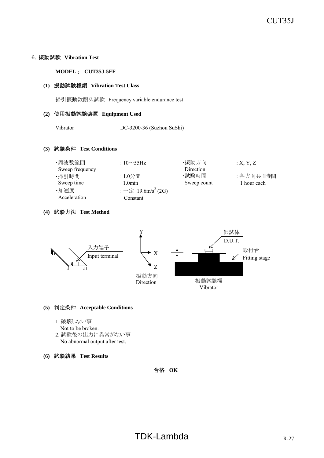#### 6.振動試験 **Vibration Test**

**MODEL** : **CUT35J-5FF**

#### **(1)** 振動試験種類 **Vibration Test Class**

掃引振動数耐久試験 Frequency variable endurance test

#### **(2)** 使用振動試験装置 **Equipment Used**

Vibrator DC-3200-36 (Suzhou SuShi)

#### **(3)** 試験条件 **Test Conditions**

| ・周波数範囲          | : $10\sim$ 55Hz                | ・振動方向       | X, Y, Z     |
|-----------------|--------------------------------|-------------|-------------|
| Sweep frequency |                                | Direction   |             |
| ・掃引時間           | :1.0分間                         | ・試験時間       | : 各方向共 1時間  |
| Sweep time      | 1.0min                         | Sweep count | 1 hour each |
| ・加速度            | : 一定 19.6m/s <sup>2</sup> (2G) |             |             |
| Acceleration    | Constant                       |             |             |
|                 |                                |             |             |

#### **(4)** 試験方法 **Test Method**



#### **(5)** 判定条件 **Acceptable Conditions**

- 1. 破壊しない事
	- Not to be broken.
- 2. 試験後の出力に異常がない事 No abnormal output after test.
- **(6)** 試験結果 **Test Results**

合格 **OK**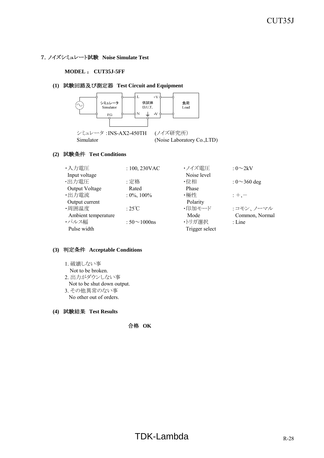#### 7.ノイズシミュレート試験 **Noise Simulate Test**

#### **MODEL** : **CUT35J-5FF**

#### **(1)** 試験回路及び測定器 **Test Circuit and Equipment**



# **(2)** 試験条件 **Test Conditions**

| ・入力電圧               | : $100, 230$ VAC    | ・ノイズ雷圧         | : $0\infty 2kV$    |
|---------------------|---------------------|----------------|--------------------|
| Input voltage       |                     | Noise level    |                    |
| ・出力電圧               | :定格                 | ・位相            | : $0 \sim 360$ deg |
| Output Voltage      | Rated               | Phase          |                    |
| ・出力電流               | $: 0\%, 100\%$      | ・極性            | $: +,-$            |
| Output current      |                     | Polarity       |                    |
| ·周囲温度               | $\cdot$ 25°C        | ・印加モード         | :コモン、ノーマル          |
| Ambient temperature |                     | Mode           | Common, Normal     |
| ・パルス幅               | : $50 \sim 1000$ ns | ・トリガ選択         | $:$ Line           |
| Pulse width         |                     | Trigger select |                    |

#### **(3)** 判定条件 **Acceptable Conditions**

1. 破壊しない事

Not to be broken.

- 2. 出力がダウンしない事 Not to be shut down output.
- 3. その他異常のない事 No other out of orders.

#### **(4)** 試験結果 **Test Results**

合格 **OK**